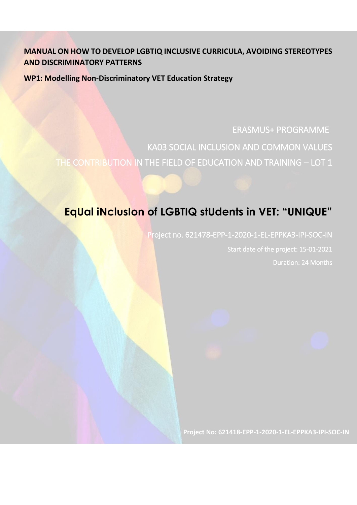# **MANUAL ON HOW TO DEVELOP LGBTIQ INCLUSIVE CURRICULA, AVOIDING STEREOTYPES AND DISCRIMINATORY PATTERNS**

**WP1: Modelling Non-Discriminatory VET Education Strategy**

ERASMUS+ PROGRAMME KA03 SOCIAL INCLUSION AND COMMON VALUES THE CONTRIBUTION IN THE FIELD OF EDUCATION AND TRAINING – LOT 1

# **EqUal iNclusIon of LGBTIQ stUdents in VET: "UNIQUE"**

Project no. 621478-EPP-1-2020-1-EL-EPPKA3-IPI-SOC-IN Start date of the project: 15-01-2021 Duration: 24 Months

**Project No: 621418-EPP-1-2020-1-EL-EPPKA3-IPI-SOC-IN**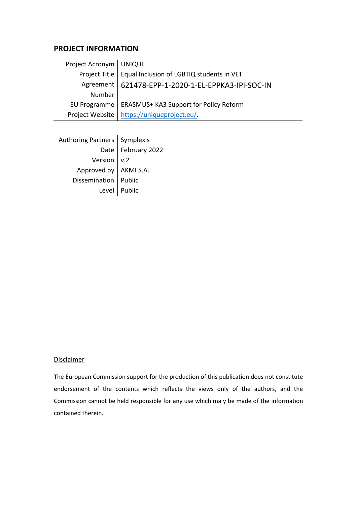## **PROJECT INFORMATION**

| Project Acronym   UNIQUE |                                                           |
|--------------------------|-----------------------------------------------------------|
|                          | Project Title   Equal Inclusion of LGBTIQ students in VET |
|                          | Agreement   621478-EPP-1-2020-1-EL-EPPKA3-IPI-SOC-IN      |
| Number                   |                                                           |
|                          | EU Programme   ERASMUS+ KA3 Support for Policy Reform     |
|                          | Project Website   https://uniqueproject.eu/.              |

| Authoring Partners $\vert$ Symplexis |                      |
|--------------------------------------|----------------------|
|                                      | Date   February 2022 |
| Version $\vert v.2 \vert$            |                      |
| Approved by   AKMI S.A.              |                      |
| Dissemination   Public               |                      |
|                                      | Level   Public       |
|                                      |                      |

### **Disclaimer**

The European Commission support for the production of this publication does not constitute endorsement of the contents which reflects the views only of the authors, and the Commission cannot be held responsible for any use which ma y be made of the information contained therein.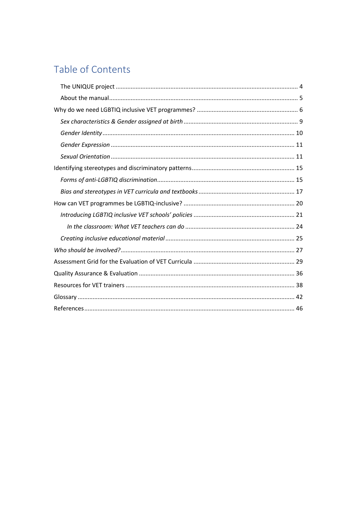# Table of Contents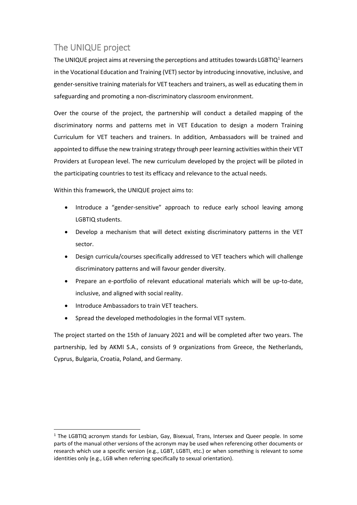# <span id="page-3-0"></span>The UNIQUE project

The UNIQUE project aims at reversing the perceptions and attitudes towards LGBTIQ<sup>1</sup> learners in the Vocational Education and Training (VET) sector by introducing innovative, inclusive, and gender-sensitive training materials for VET teachers and trainers, as well as educating them in safeguarding and promoting a non-discriminatory classroom environment.

Over the course of the project, the partnership will conduct a detailed mapping of the discriminatory norms and patterns met in VET Education to design a modern Training Curriculum for VET teachers and trainers. In addition, Ambassadors will be trained and appointed to diffuse the new training strategy through peer learning activities within their VET Providers at European level. The new curriculum developed by the project will be piloted in the participating countries to test its efficacy and relevance to the actual needs.

Within this framework, the UNIQUE project aims to:

- Introduce a "gender-sensitive" approach to reduce early school leaving among LGBTIQ students.
- Develop a mechanism that will detect existing discriminatory patterns in the VET sector.
- Design curricula/courses specifically addressed to VET teachers which will challenge discriminatory patterns and will favour gender diversity.
- Prepare an e-portfolio of relevant educational materials which will be up-to-date, inclusive, and aligned with social reality.
- Introduce Ambassadors to train VET teachers.

 $\ddot{\phantom{a}}$ 

• Spread the developed methodologies in the formal VET system.

The project started on the 15th of January 2021 and will be completed after two years. The partnership, led by AKMI S.A., consists of 9 organizations from Greece, the Netherlands, Cyprus, Bulgaria, Croatia, Poland, and Germany.

<sup>&</sup>lt;sup>1</sup> The LGBTIQ acronym stands for Lesbian, Gay, Bisexual, Trans, Intersex and Queer people. In some parts of the manual other versions of the acronym may be used when referencing other documents or research which use a specific version (e.g., LGBT, LGBTI, etc.) or when something is relevant to some identities only (e.g., LGB when referring specifically to sexual orientation).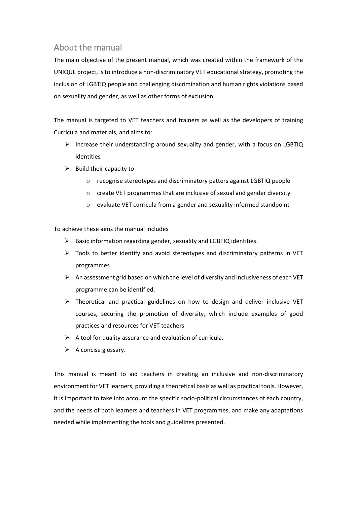# <span id="page-4-0"></span>About the manual

The main objective of the present manual, which was created within the framework of the UNIQUE project, is to introduce a non-discriminatory VET educational strategy, promoting the inclusion of LGBTIQ people and challenging discrimination and human rights violations based on sexuality and gender, as well as other forms of exclusion.

The manual is targeted to VET teachers and trainers as well as the developers of training Curricula and materials, and aims to:

- $\triangleright$  Increase their understanding around sexuality and gender, with a focus on LGBTIQ identities
- $\triangleright$  Build their capacity to
	- o recognise stereotypes and discriminatory patters against LGBTIQ people
	- o create VET programmes that are inclusive of sexual and gender diversity
	- o evaluate VET curricula from a gender and sexuality informed standpoint

To achieve these aims the manual includes

- ➢ Basic information regarding gender, sexuality and LGBTIQ identities.
- ➢ Tools to better identify and avoid stereotypes and discriminatory patterns in VET programmes.
- $\triangleright$  An assessment grid based on which the level of diversity and inclusiveness of each VET programme can be identified.
- ➢ Theoretical and practical guidelines on how to design and deliver inclusive VET courses, securing the promotion of diversity, which include examples of good practices and resources for VET teachers.
- $\triangleright$  A tool for quality assurance and evaluation of curricula.
- $\triangleright$  A concise glossary.

This manual is meant to aid teachers in creating an inclusive and non-discriminatory environment for VET learners, providing a theoretical basis as well as practical tools. However, it is important to take into account the specific socio-political circumstances of each country, and the needs of both learners and teachers in VET programmes, and make any adaptations needed while implementing the tools and guidelines presented.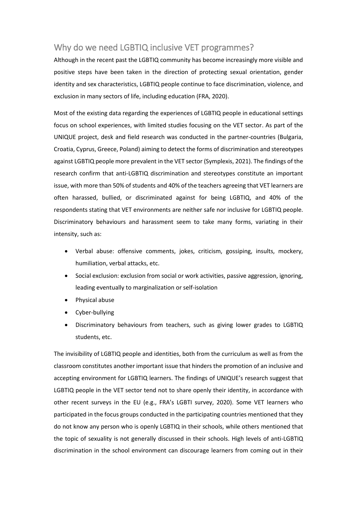# <span id="page-5-0"></span>Why do we need LGBTIQ inclusive VET programmes?

Although in the recent past the LGBTIQ community has become increasingly more visible and positive steps have been taken in the direction of protecting sexual orientation, gender identity and sex characteristics, LGBTIQ people continue to face discrimination, violence, and exclusion in many sectors of life, including education (FRA, 2020).

Most of the existing data regarding the experiences of LGBTIQ people in educational settings focus on school experiences, with limited studies focusing on the VET sector. As part of the UNIQUE project, desk and field research was conducted in the partner-countries (Bulgaria, Croatia, Cyprus, Greece, Poland) aiming to detect the forms of discrimination and stereotypes against LGBTIQ people more prevalent in the VET sector (Symplexis, 2021). The findings of the research confirm that anti-LGBTIQ discrimination and stereotypes constitute an important issue, with more than 50% of students and 40% of the teachers agreeing that VET learners are often harassed, bullied, or discriminated against for being LGBTIQ, and 40% of the respondents stating that VET environments are neither safe nor inclusive for LGBTIQ people. Discriminatory behaviours and harassment seem to take many forms, variating in their intensity, such as:

- Verbal abuse: offensive comments, jokes, criticism, gossiping, insults, mockery, humiliation, verbal attacks, etc.
- Social exclusion: exclusion from social or work activities, passive aggression, ignoring, leading eventually to marginalization or self-isolation
- Physical abuse
- Cyber-bullying
- Discriminatory behaviours from teachers, such as giving lower grades to LGBTIQ students, etc.

The invisibility of LGBTIQ people and identities, both from the curriculum as well as from the classroom constitutes another important issue that hinders the promotion of an inclusive and accepting environment for LGBTIQ learners. The findings of UNIQUE's research suggest that LGBTIQ people in the VET sector tend not to share openly their identity, in accordance with other recent surveys in the EU (e.g., FRA's LGBTI survey, 2020). Some VET learners who participated in the focus groups conducted in the participating countries mentioned that they do not know any person who is openly LGBTIQ in their schools, while others mentioned that the topic of sexuality is not generally discussed in their schools. High levels of anti-LGBTIQ discrimination in the school environment can discourage learners from coming out in their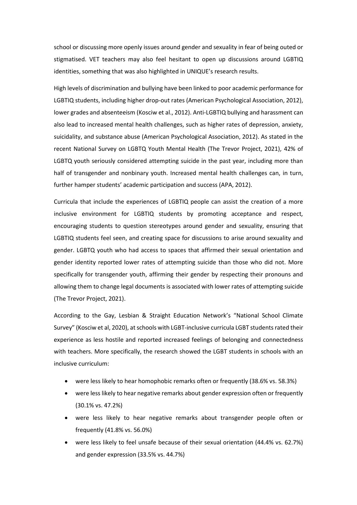school or discussing more openly issues around gender and sexuality in fear of being outed or stigmatised. VET teachers may also feel hesitant to open up discussions around LGBTIQ identities, something that was also highlighted in UNIQUE's research results.

High levels of discrimination and bullying have been linked to poor academic performance for LGBTIQ students, including higher drop-out rates (American Psychological Association, 2012), lower grades and absenteeism (Kosciw et al., 2012). Anti-LGBTIQ bullying and harassment can also lead to increased mental health challenges, such as higher rates of depression, anxiety, suicidality, and substance abuse (American Psychological Association, 2012). As stated in the recent National Survey on LGBTQ Youth Mental Health (The Trevor Project, 2021), 42% of LGBTQ youth seriously considered attempting suicide in the past year, including more than half of transgender and nonbinary youth. Increased mental health challenges can, in turn, further hamper students' academic participation and success (APA, 2012).

Curricula that include the experiences of LGBTIQ people can assist the creation of a more inclusive environment for LGBTIQ students by promoting acceptance and respect, encouraging students to question stereotypes around gender and sexuality, ensuring that LGBTIQ students feel seen, and creating space for discussions to arise around sexuality and gender. LGBTQ youth who had access to spaces that affirmed their sexual orientation and gender identity reported lower rates of attempting suicide than those who did not. More specifically for transgender youth, affirming their gender by respecting their pronouns and allowing them to change legal documents is associated with lower rates of attempting suicide (The Trevor Project, 2021).

According to the Gay, Lesbian & Straight Education Network's "National School Climate Survey" (Kosciw et al, 2020), at schools with LGBT-inclusive curricula LGBT students rated their experience as less hostile and reported increased feelings of belonging and connectedness with teachers. More specifically, the research showed the LGBT students in schools with an inclusive curriculum:

- were less likely to hear homophobic remarks often or frequently (38.6% vs. 58.3%)
- were less likely to hear negative remarks about gender expression often or frequently (30.1% vs. 47.2%)
- were less likely to hear negative remarks about transgender people often or frequently (41.8% vs. 56.0%)
- were less likely to feel unsafe because of their sexual orientation (44.4% vs. 62.7%) and gender expression (33.5% vs. 44.7%)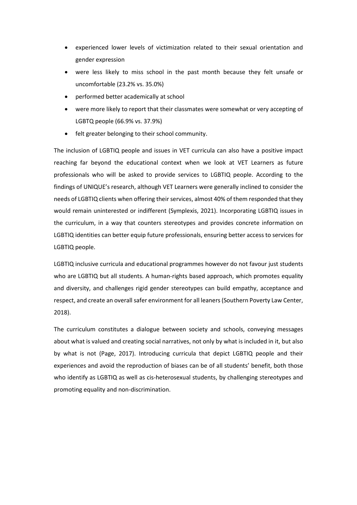- experienced lower levels of victimization related to their sexual orientation and gender expression
- were less likely to miss school in the past month because they felt unsafe or uncomfortable (23.2% vs. 35.0%)
- performed better academically at school
- were more likely to report that their classmates were somewhat or very accepting of LGBTQ people (66.9% vs. 37.9%)
- felt greater belonging to their school community.

The inclusion of LGBTIQ people and issues in VET curricula can also have a positive impact reaching far beyond the educational context when we look at VET Learners as future professionals who will be asked to provide services to LGBTIQ people. According to the findings of UNIQUE's research, although VET Learners were generally inclined to consider the needs of LGBTIQ clients when offering their services, almost 40% of them responded that they would remain uninterested or indifferent (Symplexis, 2021). Incorporating LGBTIQ issues in the curriculum, in a way that counters stereotypes and provides concrete information on LGBTIQ identities can better equip future professionals, ensuring better access to services for LGBTIQ people.

LGBTIQ inclusive curricula and educational programmes however do not favour just students who are LGBTIQ but all students. A human-rights based approach, which promotes equality and diversity, and challenges rigid gender stereotypes can build empathy, acceptance and respect, and create an overall safer environment for all leaners (Southern Poverty Law Center, 2018).

The curriculum constitutes a dialogue between society and schools, conveying messages about what is valued and creating social narratives, not only by what is included in it, but also by what is not (Page, 2017). Introducing curricula that depict LGBTIQ people and their experiences and avoid the reproduction of biases can be of all students' benefit, both those who identify as LGBTIQ as well as cis-heterosexual students, by challenging stereotypes and promoting equality and non-discrimination.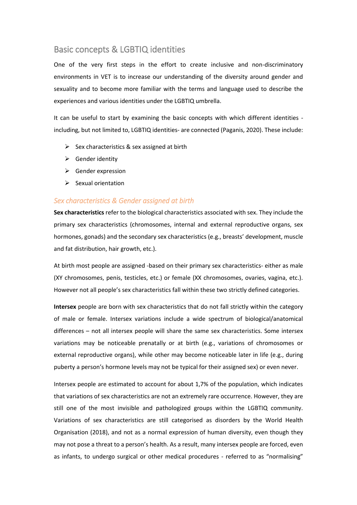## Basic concepts & LGBTIQ identities

One of the very first steps in the effort to create inclusive and non-discriminatory environments in VET is to increase our understanding of the diversity around gender and sexuality and to become more familiar with the terms and language used to describe the experiences and various identities under the LGBTIQ umbrella.

It can be useful to start by examining the basic concepts with which different identities including, but not limited to, LGBTIQ identities- are connected (Paganis, 2020). These include:

- $\triangleright$  Sex characteristics & sex assigned at birth
- $\triangleright$  Gender identity
- $\triangleright$  Gender expression
- $\triangleright$  Sexual orientation

### <span id="page-8-0"></span>*Sex characteristics & Gender assigned at birth*

**Sex characteristics** refer to the biological characteristics associated with sex. They include the primary sex characteristics (chromosomes, internal and external reproductive organs, sex hormones, gonads) and the secondary sex characteristics (e.g., breasts' development, muscle and fat distribution, hair growth, etc.).

At birth most people are assigned -based on their primary sex characteristics- either as male (XY chromosomes, penis, testicles, etc.) or female (XX chromosomes, ovaries, vagina, etc.). However not all people's sex characteristics fall within these two strictly defined categories.

**Intersex** people are born with sex characteristics that do not fall strictly within the category of male or female. Intersex variations include a wide spectrum of biological/anatomical differences – not all intersex people will share the same sex characteristics. Some intersex variations may be noticeable prenatally or at birth (e.g., variations of chromosomes or external reproductive organs), while other may become noticeable later in life (e.g., during puberty a person's hormone levels may not be typical for their assigned sex) or even never.

Intersex people are estimated to account for about 1,7% of the population, which indicates that variations of sex characteristics are not an extremely rare occurrence. However, they are still one of the most invisible and pathologized groups within the LGBTIQ community. Variations of sex characteristics are still categorised as disorders by the World Health Organisation (2018), and not as a normal expression of human diversity, even though they may not pose a threat to a person's health. As a result, many intersex people are forced, even as infants, to undergo surgical or other medical procedures - referred to as "normalising"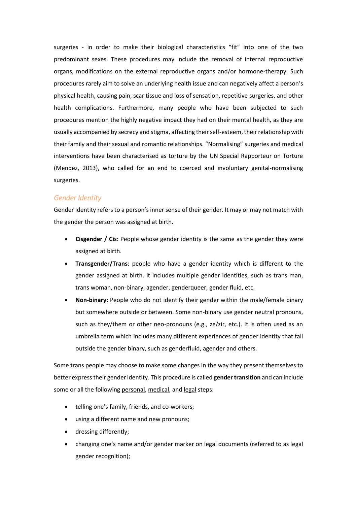surgeries - in order to make their biological characteristics "fit" into one of the two predominant sexes. These procedures may include the removal of internal reproductive organs, modifications on the external reproductive organs and/or hormone-therapy. Such procedures rarely aim to solve an underlying health issue and can negatively affect a person's physical health, causing pain, scar tissue and loss of sensation, repetitive surgeries, and other health complications. Furthermore, many people who have been subjected to such procedures mention the highly negative impact they had on their mental health, as they are usually accompanied by secrecy and stigma, affecting their self-esteem, their relationship with their family and their sexual and romantic relationships. "Normalising" surgeries and medical interventions have been characterised as torture by the UN Special Rapporteur on Torture (Mendez, 2013), who called for an end to coerced and involuntary genital-normalising surgeries.

### <span id="page-9-0"></span>*Gender Identity*

Gender Identity refers to a person's inner sense of their gender. It may or may not match with the gender the person was assigned at birth.

- **Cisgender / Cis:** People whose gender identity is the same as the gender they were assigned at birth.
- **Transgender/Trans**: people who have a gender identity which is different to the gender assigned at birth. It includes multiple gender identities, such as trans man, trans woman, non-binary, agender, genderqueer, gender fluid, etc.
- **Non-binary:** People who do not identify their gender within the male/female binary but somewhere outside or between. Some non-binary use gender neutral pronouns, such as they/them or other neo-pronouns (e.g., ze/zir, etc.). It is often used as an umbrella term which includes many different experiences of gender identity that fall outside the gender binary, such as genderfluid, agender and others.

Some trans people may choose to make some changes in the way they present themselves to better express their gender identity. This procedure is called **gender transition** and can include some or all the following personal, medical, and legal steps:

- telling one's family, friends, and co-workers;
- using a different name and new pronouns;
- dressing differently;
- changing one's name and/or gender marker on legal documents (referred to as legal gender recognition);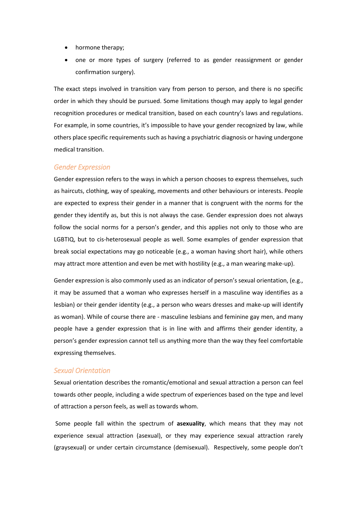- hormone therapy;
- one or more types of surgery (referred to as gender reassignment or gender confirmation surgery).

The exact steps involved in transition vary from person to person, and there is no specific order in which they should be pursued. Some limitations though may apply to legal gender recognition procedures or medical transition, based on each country's laws and regulations. For example, in some countries, it's impossible to have your gender recognized by law, while others place specific requirements such as having a psychiatric diagnosis or having undergone medical transition.

#### <span id="page-10-0"></span>*Gender Expression*

Gender expression refers to the ways in which a person chooses to express themselves, such as haircuts, clothing, way of speaking, movements and other behaviours or interests. People are expected to express their gender in a manner that is congruent with the norms for the gender they identify as, but this is not always the case. Gender expression does not always follow the social norms for a person's gender, and this applies not only to those who are LGBTIQ, but to cis-heterosexual people as well. Some examples of gender expression that break social expectations may go noticeable (e.g., a woman having short hair), while others may attract more attention and even be met with hostility (e.g., a man wearing make-up).

Gender expression is also commonly used as an indicator of person's sexual orientation, (e.g., it may be assumed that a woman who expresses herself in a masculine way identifies as a lesbian) or their gender identity (e.g., a person who wears dresses and make-up will identify as woman). While of course there are - masculine lesbians and feminine gay men, and many people have a gender expression that is in line with and affirms their gender identity, a person's gender expression cannot tell us anything more than the way they feel comfortable expressing themselves.

#### <span id="page-10-1"></span>*Sexual Orientation*

Sexual orientation describes the romantic/emotional and sexual attraction a person can feel towards other people, including a wide spectrum of experiences based on the type and level of attraction a person feels, as well as towards whom.

Some people fall within the spectrum of **asexuality**, which means that they may not experience sexual attraction (asexual), or they may experience sexual attraction rarely (graysexual) or under certain circumstance (demisexual). Respectively, some people don't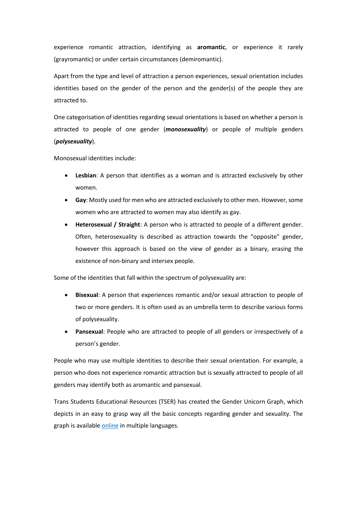experience romantic attraction, identifying as **aromantic**, or experience it rarely (grayromantic) or under certain circumstances (demiromantic).

Apart from the type and level of attraction a person experiences, sexual orientation includes identities based on the gender of the person and the gender(s) of the people they are attracted to.

One categorisation of identities regarding sexual orientations is based on whether a person is attracted to people of one gender (*monosexuality*) or people of multiple genders (*polysexuality*).

Monosexual identities include:

- **Lesbian**: A person that identifies as a woman and is attracted exclusively by other women.
- **Gay**: Mostly used for men who are attracted exclusively to other men. However, some women who are attracted to women may also identify as gay.
- **Heterosexual / Straight**: A person who is attracted to people of a different gender. Often, heterosexuality is described as attraction towards the "opposite" gender, however this approach is based on the view of gender as a binary, erasing the existence of non-binary and intersex people.

Some of the identities that fall within the spectrum of polysexuality are:

- **Bisexual**: A person that experiences romantic and/or sexual attraction to people of two or more genders. It is often used as an umbrella term to describe various forms of polysexuality.
- **Pansexual**: People who are attracted to people of all genders or irrespectively of a person's gender.

People who may use multiple identities to describe their sexual orientation. For example, a person who does not experience romantic attraction but is sexually attracted to people of all genders may identify both as aromantic and pansexual.

Trans Students Educational Resources (TSER) has created the Gender Unicorn Graph, which depicts in an easy to grasp way all the basic concepts regarding gender and sexuality. The graph is availabl[e online](https://transstudent.org/gender/) in multiple languages.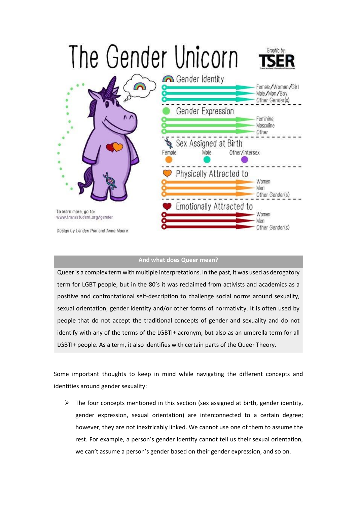

### **And what does Queer mean?**

Queer is a complex term with multiple interpretations. In the past, it was used as derogatory term for LGBT people, but in the 80's it was reclaimed from activists and academics as a positive and confrontational self-description to challenge social norms around sexuality, sexual orientation, gender identity and/or other forms of normativity. It is often used by people that do not accept the traditional concepts of gender and sexuality and do not identify with any of the terms of the LGBTI+ acronym, but also as an umbrella term for all LGBTI+ people. As a term, it also identifies with certain parts of the Queer Theory.

Some important thoughts to keep in mind while navigating the different concepts and identities around gender sexuality:

 $\triangleright$  The four concepts mentioned in this section (sex assigned at birth, gender identity, gender expression, sexual orientation) are interconnected to a certain degree; however, they are not inextricably linked. We cannot use one of them to assume the rest. For example, a person's gender identity cannot tell us their sexual orientation, we can't assume a person's gender based on their gender expression, and so on.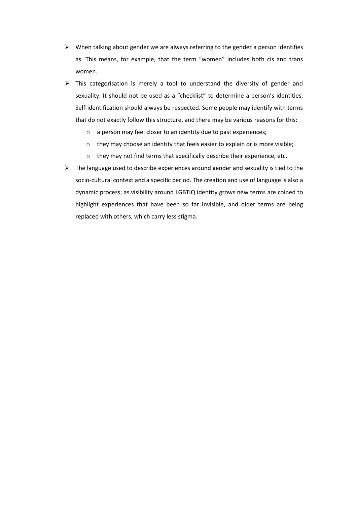- $\triangleright$  When talking about gender we are always referring to the gender a person identifies as. This means, for example, that the term "women" includes both cis and trans women.
- ➢ This categorisation is merely a tool to understand the diversity of gender and sexuality. It should not be used as a "checklist" to determine a person's identities. Self-identification should always be respected. Some people may identify with terms that do not exactly follow this structure, and there may be various reasons for this:
	- o a person may feel closer to an identity due to past experiences;
	- o they may choose an identity that feels easier to explain or is more visible;
	- o they may not find terms that specifically describe their experience, etc.
- $\triangleright$  The language used to describe experiences around gender and sexuality is tied to the socio-cultural context and a specific period. The creation and use of language is also a dynamic process; as visibility around LGBTIQ identity grows new terms are coined to highlight experiences that have been so far invisible, and older terms are being replaced with others, which carry less stigma.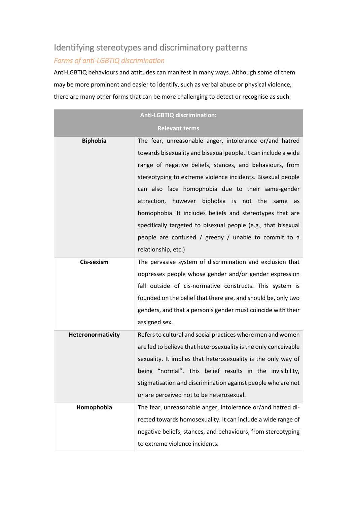# <span id="page-14-0"></span>Identifying stereotypes and discriminatory patterns

# <span id="page-14-1"></span>*Forms of anti-LGBTIQ discrimination*

Anti-LGBTIQ behaviours and attitudes can manifest in many ways. Although some of them may be more prominent and easier to identify, such as verbal abuse or physical violence, there are many other forms that can be more challenging to detect or recognise as such.

|                   | <b>Anti-LGBTIQ discrimination:</b>                              |  |  |  |  |  |  |  |  |  |
|-------------------|-----------------------------------------------------------------|--|--|--|--|--|--|--|--|--|
|                   | <b>Relevant terms</b>                                           |  |  |  |  |  |  |  |  |  |
| <b>Biphobia</b>   | The fear, unreasonable anger, intolerance or/and hatred         |  |  |  |  |  |  |  |  |  |
|                   | towards bisexuality and bisexual people. It can include a wide  |  |  |  |  |  |  |  |  |  |
|                   | range of negative beliefs, stances, and behaviours, from        |  |  |  |  |  |  |  |  |  |
|                   | stereotyping to extreme violence incidents. Bisexual people     |  |  |  |  |  |  |  |  |  |
|                   | can also face homophobia due to their same-gender               |  |  |  |  |  |  |  |  |  |
|                   | attraction, however biphobia is<br>not the<br>same<br>as        |  |  |  |  |  |  |  |  |  |
|                   | homophobia. It includes beliefs and stereotypes that are        |  |  |  |  |  |  |  |  |  |
|                   | specifically targeted to bisexual people (e.g., that bisexual   |  |  |  |  |  |  |  |  |  |
|                   | people are confused / greedy / unable to commit to a            |  |  |  |  |  |  |  |  |  |
|                   | relationship, etc.)                                             |  |  |  |  |  |  |  |  |  |
| Cis-sexism        | The pervasive system of discrimination and exclusion that       |  |  |  |  |  |  |  |  |  |
|                   | oppresses people whose gender and/or gender expression          |  |  |  |  |  |  |  |  |  |
|                   | fall outside of cis-normative constructs. This system is        |  |  |  |  |  |  |  |  |  |
|                   | founded on the belief that there are, and should be, only two   |  |  |  |  |  |  |  |  |  |
|                   | genders, and that a person's gender must coincide with their    |  |  |  |  |  |  |  |  |  |
|                   | assigned sex.                                                   |  |  |  |  |  |  |  |  |  |
| Heteronormativity | Refers to cultural and social practices where men and women     |  |  |  |  |  |  |  |  |  |
|                   | are led to believe that heterosexuality is the only conceivable |  |  |  |  |  |  |  |  |  |
|                   | sexuality. It implies that heterosexuality is the only way of   |  |  |  |  |  |  |  |  |  |
|                   | being "normal". This belief results in the invisibility,        |  |  |  |  |  |  |  |  |  |
|                   | stigmatisation and discrimination against people who are not    |  |  |  |  |  |  |  |  |  |
|                   | or are perceived not to be heterosexual.                        |  |  |  |  |  |  |  |  |  |
| Homophobia        | The fear, unreasonable anger, intolerance or/and hatred di-     |  |  |  |  |  |  |  |  |  |
|                   | rected towards homosexuality. It can include a wide range of    |  |  |  |  |  |  |  |  |  |
|                   | negative beliefs, stances, and behaviours, from stereotyping    |  |  |  |  |  |  |  |  |  |
|                   | to extreme violence incidents.                                  |  |  |  |  |  |  |  |  |  |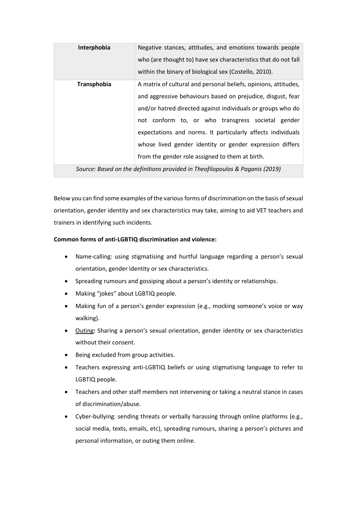| Interphobia | Negative stances, attitudes, and emotions towards people<br>who (are thought to) have sex characteristics that do not fall<br>within the binary of biological sex (Costello, 2010).                                                                                                                                                                                                                                              |
|-------------|----------------------------------------------------------------------------------------------------------------------------------------------------------------------------------------------------------------------------------------------------------------------------------------------------------------------------------------------------------------------------------------------------------------------------------|
| Transphobia | A matrix of cultural and personal beliefs, opinions, attitudes,<br>and aggressive behaviours based on prejudice, disgust, fear<br>and/or hatred directed against individuals or groups who do<br>not conform to, or who transgress societal gender<br>expectations and norms. It particularly affects individuals<br>whose lived gender identity or gender expression differs<br>from the gender role assigned to them at birth. |

*Source: Based on the definitions provided in Theofilopoulos & Paganis (2019)*

Below you can find some examples of the various forms of discrimination on the basis of sexual orientation, gender identity and sex characteristics may take, aiming to aid VET teachers and trainers in identifying such incidents.

### **Common forms of anti-LGBTIQ discrimination and violence:**

- Name-calling: using stigmatising and hurtful language regarding a person's sexual orientation, gender identity or sex characteristics.
- Spreading rumours and gossiping about a person's identity or relationships.
- Making "jokes" about LGBTIQ people.
- Making fun of a person's gender expression (e.g., mocking someone's voice or way walking).
- Outing**:** Sharing a person's sexual orientation, gender identity or sex characteristics without their consent.
- Being excluded from group activities.
- Teachers expressing anti-LGBTIQ beliefs or using stigmatising language to refer to LGBTIQ people.
- Teachers and other staff members not intervening or taking a neutral stance in cases of discrimination/abuse.
- Cyber-bullying: sending threats or verbally harassing through online platforms (e.g., social media, texts, emails, etc), spreading rumours, sharing a person's pictures and personal information, or outing them online.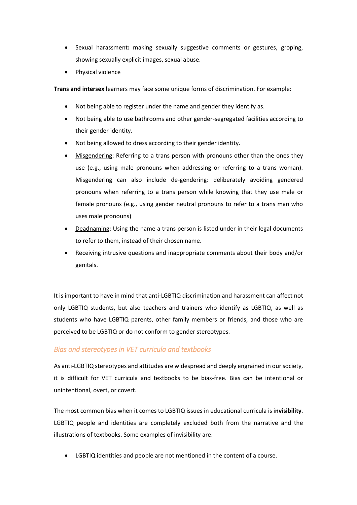- Sexual harassment**:** making sexually suggestive comments or gestures, groping, showing sexually explicit images, sexual abuse.
- Physical violence

**Trans and intersex** learners may face some unique forms of discrimination. For example:

- Not being able to register under the name and gender they identify as.
- Not being able to use bathrooms and other gender-segregated facilities according to their gender identity.
- Not being allowed to dress according to their gender identity.
- Misgendering: Referring to a trans person with pronouns other than the ones they use (e.g., using male pronouns when addressing or referring to a trans woman). Misgendering can also include de-gendering: deliberately avoiding gendered pronouns when referring to a trans person while knowing that they use male or female pronouns (e.g., using gender neutral pronouns to refer to a trans man who uses male pronouns)
- Deadnaming: Using the name a trans person is listed under in their legal documents to refer to them, instead of their chosen name.
- Receiving intrusive questions and inappropriate comments about their body and/or genitals.

It is important to have in mind that anti-LGBTIQ discrimination and harassment can affect not only LGBTIQ students, but also teachers and trainers who identify as LGBTIQ, as well as students who have LGBTIQ parents, other family members or friends, and those who are perceived to be LGBTIQ or do not conform to gender stereotypes.

## <span id="page-16-0"></span>*Bias and stereotypes in VET curricula and textbooks*

As anti-LGBTIQ stereotypes and attitudes are widespread and deeply engrained in our society, it is difficult for VET curricula and textbooks to be bias-free. Bias can be intentional or unintentional, overt, or covert.

The most common bias when it comes to LGBTIQ issues in educational curricula is i**nvisibility**. LGBTIQ people and identities are completely excluded both from the narrative and the illustrations of textbooks. Some examples of invisibility are:

• LGBTIQ identities and people are not mentioned in the content of a course.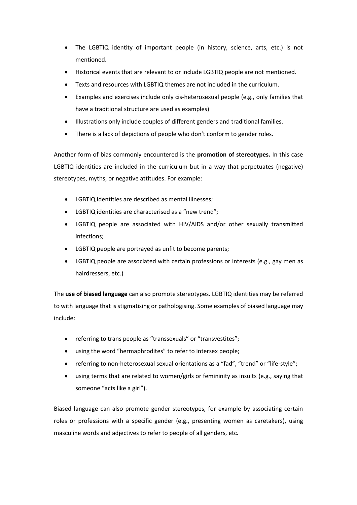- The LGBTIQ identity of important people (in history, science, arts, etc.) is not mentioned.
- Historical events that are relevant to or include LGBTIQ people are not mentioned.
- Texts and resources with LGBTIQ themes are not included in the curriculum.
- Examples and exercises include only cis-heterosexual people (e.g., only families that have a traditional structure are used as examples)
- Illustrations only include couples of different genders and traditional families.
- There is a lack of depictions of people who don't conform to gender roles.

Another form of bias commonly encountered is the **promotion of stereotypes.** In this case LGBTIQ identities are included in the curriculum but in a way that perpetuates (negative) stereotypes, myths, or negative attitudes. For example:

- LGBTIQ identities are described as mental illnesses;
- LGBTIQ identities are characterised as a "new trend";
- LGBTIQ people are associated with HIV/AIDS and/or other sexually transmitted infections;
- LGBTIQ people are portrayed as unfit to become parents;
- LGBTIQ people are associated with certain professions or interests (e.g., gay men as hairdressers, etc.)

The **use of biased language** can also promote stereotypes. LGBTIQ identities may be referred to with language that is stigmatising or pathologising. Some examples of biased language may include:

- referring to trans people as "transsexuals" or "transvestites";
- using the word "hermaphrodites" to refer to intersex people;
- referring to non-heterosexual sexual orientations as a "fad", "trend" or "life-style";
- using terms that are related to women/girls or femininity as insults (e.g., saying that someone "acts like a girl").

Biased language can also promote gender stereotypes, for example by associating certain roles or professions with a specific gender (e.g., presenting women as caretakers), using masculine words and adjectives to refer to people of all genders, etc.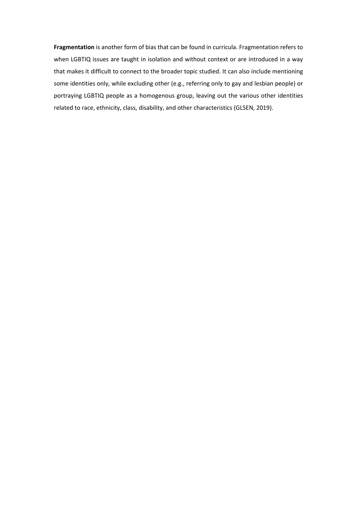**Fragmentation** is another form of bias that can be found in curricula. Fragmentation refers to when LGBTIQ issues are taught in isolation and without context or are introduced in a way that makes it difficult to connect to the broader topic studied. It can also include mentioning some identities only, while excluding other (e.g., referring only to gay and lesbian people) or portraying LGBTIQ people as a homogenous group, leaving out the various other identities related to race, ethnicity, class, disability, and other characteristics (GLSEN, 2019).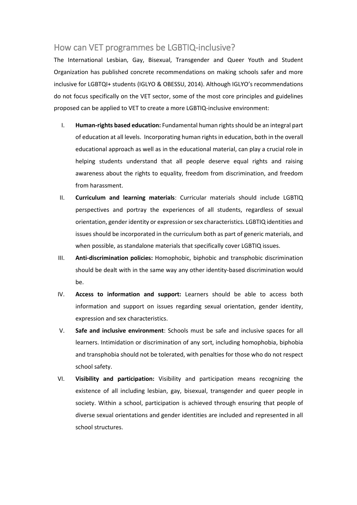# <span id="page-19-0"></span>How can VET programmes be LGBTIQ-inclusive?

The International Lesbian, Gay, Bisexual, Transgender and Queer Youth and Student Organization has published concrete recommendations on making schools safer and more inclusive for LGBTQI+ students (IGLYO & OBESSU, 2014). Although IGLYO's recommendations do not focus specifically on the VET sector, some of the most core principles and guidelines proposed can be applied to VET to create a more LGBTIQ-inclusive environment:

- I. **Human-rights based education:** Fundamental human rights should be an integral part of education at all levels. Incorporating human rights in education, both in the overall educational approach as well as in the educational material, can play a crucial role in helping students understand that all people deserve equal rights and raising awareness about the rights to equality, freedom from discrimination, and freedom from harassment.
- II. **Curriculum and learning materials**: Curricular materials should include LGBTIQ perspectives and portray the experiences of all students, regardless of sexual orientation, gender identity or expression or sex characteristics. LGBTIQ identities and issues should be incorporated in the curriculum both as part of generic materials, and when possible, as standalone materials that specifically cover LGBTIQ issues.
- III. **Anti-discrimination policies:** Homophobic, biphobic and transphobic discrimination should be dealt with in the same way any other identity-based discrimination would be.
- IV. **Access to information and support:** Learners should be able to access both information and support on issues regarding sexual orientation, gender identity, expression and sex characteristics.
- V. **Safe and inclusive environment**: Schools must be safe and inclusive spaces for all learners. Intimidation or discrimination of any sort, including homophobia, biphobia and transphobia should not be tolerated, with penalties for those who do not respect school safety.
- VI. **Visibility and participation:** Visibility and participation means recognizing the existence of all including lesbian, gay, bisexual, transgender and queer people in society. Within a school, participation is achieved through ensuring that people of diverse sexual orientations and gender identities are included and represented in all school structures.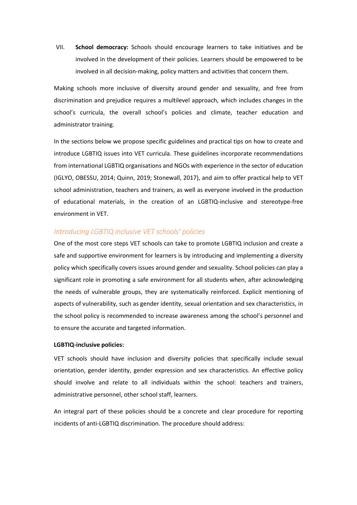VII. **School democracy:** Schools should encourage learners to take initiatives and be involved in the development of their policies. Learners should be empowered to be involved in all decision-making, policy matters and activities that concern them.

Making schools more inclusive of diversity around gender and sexuality, and free from discrimination and prejudice requires a multilevel approach, which includes changes in the school's curricula, the overall school's policies and climate, teacher education and administrator training.

In the sections below we propose specific guidelines and practical tips on how to create and introduce LGBTIQ issues into VET curricula. These guidelines incorporate recommendations from international LGBTIQ organisations and NGOs with experience in the sector of education (IGLYO, OBESSU, 2014; Quinn, 2019; Stonewall, 2017), and aim to offer practical help to VET school administration, teachers and trainers, as well as everyone involved in the production of educational materials, in the creation of an LGBTIQ-inclusive and stereotype-free environment in VET.

### <span id="page-20-0"></span>*Introducing LGBTIQ inclusive VET schools' policies*

One of the most core steps VET schools can take to promote LGBTIQ inclusion and create a safe and supportive environment for learners is by introducing and implementing a diversity policy which specifically covers issues around gender and sexuality. School policies can play a significant role in promoting a safe environment for all students when, after acknowledging the needs of vulnerable groups, they are systematically reinforced. Explicit mentioning of aspects of vulnerability, such as gender identity, sexual orientation and sex characteristics, in the school policy is recommended to increase awareness among the school's personnel and to ensure the accurate and targeted information.

#### **LGBTIQ-inclusive policies:**

VET schools should have inclusion and diversity policies that specifically include sexual orientation, gender identity, gender expression and sex characteristics. An effective policy should involve and relate to all individuals within the school: teachers and trainers, administrative personnel, other school staff, learners.

An integral part of these policies should be a concrete and clear procedure for reporting incidents of anti-LGBTIQ discrimination. The procedure should address: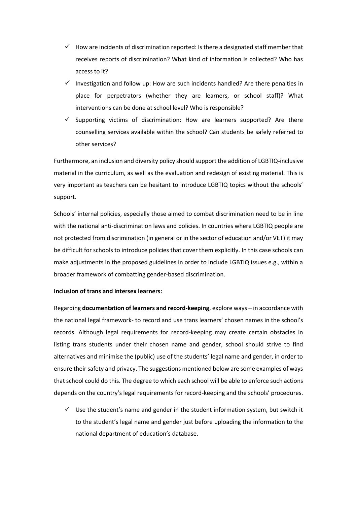- $\checkmark$  How are incidents of discrimination reported: Is there a designated staff member that receives reports of discrimination? What kind of information is collected? Who has access to it?
- $\checkmark$  Investigation and follow up: How are such incidents handled? Are there penalties in place for perpetrators (whether they are learners, or school staff)? What interventions can be done at school level? Who is responsible?
- Supporting victims of discrimination: How are learners supported? Are there counselling services available within the school? Can students be safely referred to other services?

Furthermore, an inclusion and diversity policy should support the addition of LGBTIQ-inclusive material in the curriculum, as well as the evaluation and redesign of existing material. This is very important as teachers can be hesitant to introduce LGBTIQ topics without the schools' support.

Schools' internal policies, especially those aimed to combat discrimination need to be in line with the national anti-discrimination laws and policies. In countries where LGBTIQ people are not protected from discrimination (in general or in the sector of education and/or VET) it may be difficult for schools to introduce policies that cover them explicitly. In this case schools can make adjustments in the proposed guidelines in order to include LGBTIQ issues e.g., within a broader framework of combatting gender-based discrimination.

#### **Inclusion of trans and intersex learners:**

Regarding **documentation of learners and record-keeping**, explore ways – in accordance with the national legal framework- to record and use trans learners' chosen names in the school's records. Although legal requirements for record-keeping may create certain obstacles in listing trans students under their chosen name and gender, school should strive to find alternatives and minimise the (public) use of the students' legal name and gender, in order to ensure their safety and privacy. The suggestions mentioned below are some examples of ways that school could do this. The degree to which each school will be able to enforce such actions depends on the country's legal requirements for record-keeping and the schools' procedures.

 $\checkmark$  Use the student's name and gender in the student information system, but switch it to the student's legal name and gender just before uploading the information to the national department of education's database.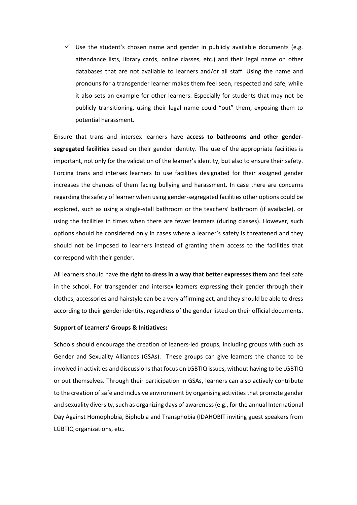$\checkmark$  Use the student's chosen name and gender in publicly available documents (e.g. attendance lists, library cards, online classes, etc.) and their legal name on other databases that are not available to learners and/or all staff. Using the name and pronouns for a transgender learner makes them feel seen, respected and safe, while it also sets an example for other learners. Especially for students that may not be publicly transitioning, using their legal name could "out" them, exposing them to potential harassment.

Ensure that trans and intersex learners have **access to bathrooms and other gendersegregated facilities** based on their gender identity. The use of the appropriate facilities is important, not only for the validation of the learner's identity, but also to ensure their safety. Forcing trans and intersex learners to use facilities designated for their assigned gender increases the chances of them facing bullying and harassment. In case there are concerns regarding the safety of learner when using gender-segregated facilities other options could be explored, such as using a single-stall bathroom or the teachers' bathroom (if available), or using the facilities in times when there are fewer learners (during classes). However, such options should be considered only in cases where a learner's safety is threatened and they should not be imposed to learners instead of granting them access to the facilities that correspond with their gender.

All learners should have **the right to dress in a way that better expresses them** and feel safe in the school. For transgender and intersex learners expressing their gender through their clothes, accessories and hairstyle can be a very affirming act, and they should be able to dress according to their gender identity, regardless of the gender listed on their official documents.

#### **Support of Learners' Groups & Initiatives:**

Schools should encourage the creation of leaners-led groups, including groups with such as Gender and Sexuality Alliances (GSAs). These groups can give learners the chance to be involved in activities and discussions that focus on LGBTIQ issues, without having to be LGBTIQ or out themselves. Through their participation in GSAs, learners can also actively contribute to the creation of safe and inclusive environment by organising activities that promote gender and sexuality diversity, such as organizing days of awareness(e.g., for the annual International Day Against Homophobia, Biphobia and Transphobia (IDAHOBIT inviting guest speakers from LGBTIQ organizations, etc.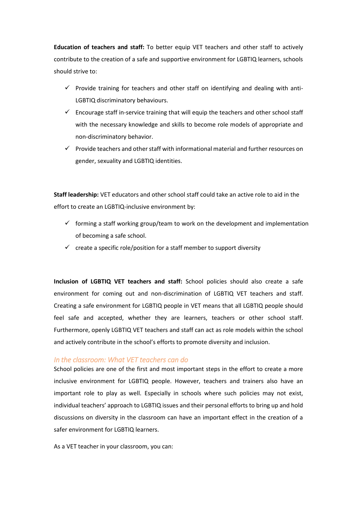**Education of teachers and staff:** To better equip VET teachers and other staff to actively contribute to the creation of a safe and supportive environment for LGBTIQ learners, schools should strive to:

- $\checkmark$  Provide training for teachers and other staff on identifying and dealing with anti-LGBTIQ discriminatory behaviours.
- $\checkmark$  Encourage staff in-service training that will equip the teachers and other school staff with the necessary knowledge and skills to become role models of appropriate and non-discriminatory behavior.
- $\checkmark$  Provide teachers and other staff with informational material and further resources on gender, sexuality and LGBTIQ identities.

**Staff leadership:** VET educators and other school staff could take an active role to aid in the effort to create an LGBTIQ-inclusive environment by:

- $\checkmark$  forming a staff working group/team to work on the development and implementation of becoming a safe school.
- $\checkmark$  create a specific role/position for a staff member to support diversity

**Inclusion of LGBTIQ VET teachers and staff:** School policies should also create a safe environment for coming out and non-discrimination of LGBTIQ VET teachers and staff. Creating a safe environment for LGBTIQ people in VET means that all LGBTIQ people should feel safe and accepted, whether they are learners, teachers or other school staff. Furthermore, openly LGBTIQ VET teachers and staff can act as role models within the school and actively contribute in the school's efforts to promote diversity and inclusion.

#### <span id="page-23-0"></span>*In the classroom: What VET teachers can do*

School policies are one of the first and most important steps in the effort to create a more inclusive environment for LGBTIQ people. However, teachers and trainers also have an important role to play as well. Especially in schools where such policies may not exist, individual teachers' approach to LGBTIQ issues and their personal efforts to bring up and hold discussions on diversity in the classroom can have an important effect in the creation of a safer environment for LGBTIQ learners.

As a VET teacher in your classroom, you can: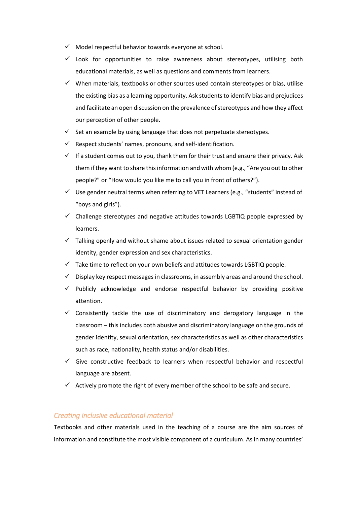- $\checkmark$  Model respectful behavior towards everyone at school.
- $\checkmark$  Look for opportunities to raise awareness about stereotypes, utilising both educational materials, as well as questions and comments from learners.
- $\checkmark$  When materials, textbooks or other sources used contain stereotypes or bias, utilise the existing bias as a learning opportunity. Ask students to identify bias and prejudices and facilitate an open discussion on the prevalence of stereotypes and how they affect our perception of other people.
- $\checkmark$  Set an example by using language that does not perpetuate stereotypes.
- Respect students' names, pronouns, and self-identification.
- $\checkmark$  If a student comes out to you, thank them for their trust and ensure their privacy. Ask them if they want to share this information and with whom (e.g., "Are you out to other people?" or "How would you like me to call you in front of others?").
- $\checkmark$  Use gender neutral terms when referring to VET Learners (e.g., "students" instead of "boys and girls").
- $\checkmark$  Challenge stereotypes and negative attitudes towards LGBTIQ people expressed by learners.
- $\checkmark$  Talking openly and without shame about issues related to sexual orientation gender identity, gender expression and sex characteristics.
- $\checkmark$  Take time to reflect on your own beliefs and attitudes towards LGBTIQ people.
- $\checkmark$  Display key respect messages in classrooms, in assembly areas and around the school.
- $\checkmark$  Publicly acknowledge and endorse respectful behavior by providing positive attention.
- $\checkmark$  Consistently tackle the use of discriminatory and derogatory language in the classroom – this includes both abusive and discriminatory language on the grounds of gender identity, sexual orientation, sex characteristics as well as other characteristics such as race, nationality, health status and/or disabilities.
- $\checkmark$  Give constructive feedback to learners when respectful behavior and respectful language are absent.
- $\checkmark$  Actively promote the right of every member of the school to be safe and secure.

### <span id="page-24-0"></span>*Creating inclusive educational material*

Textbooks and other materials used in the teaching of a course are the aim sources of information and constitute the most visible component of a curriculum. As in many countries'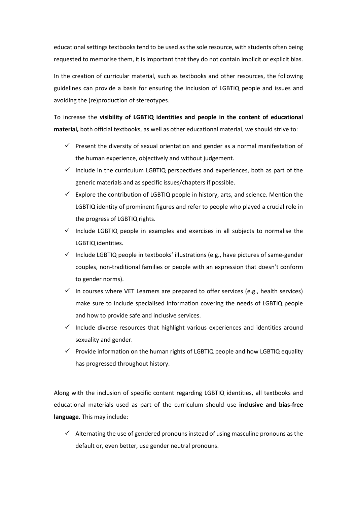educational settings textbooks tend to be used as the sole resource, with students often being requested to memorise them, it is important that they do not contain implicit or explicit bias.

In the creation of curricular material, such as textbooks and other resources, the following guidelines can provide a basis for ensuring the inclusion of LGBTIQ people and issues and avoiding the (re)production of stereotypes.

To increase the **visibility of LGBTIQ identities and people in the content of educational material,** both official textbooks, as well as other educational material, we should strive to:

- $\checkmark$  Present the diversity of sexual orientation and gender as a normal manifestation of the human experience, objectively and without judgement.
- $\checkmark$  Include in the curriculum LGBTIQ perspectives and experiences, both as part of the generic materials and as specific issues/chapters if possible.
- $\checkmark$  Explore the contribution of LGBTIQ people in history, arts, and science. Mention the LGBTIQ identity of prominent figures and refer to people who played a crucial role in the progress of LGBTIQ rights.
- $\checkmark$  Include LGBTIQ people in examples and exercises in all subjects to normalise the LGBTIQ identities.
- $\checkmark$  Include LGBTIQ people in textbooks' illustrations (e.g., have pictures of same-gender couples, non-traditional families or people with an expression that doesn't conform to gender norms).
- $\checkmark$  In courses where VET Learners are prepared to offer services (e.g., health services) make sure to include specialised information covering the needs of LGBTIQ people and how to provide safe and inclusive services.
- $\checkmark$  Include diverse resources that highlight various experiences and identities around sexuality and gender.
- $\checkmark$  Provide information on the human rights of LGBTIQ people and how LGBTIQ equality has progressed throughout history.

Along with the inclusion of specific content regarding LGBTIQ identities, all textbooks and educational materials used as part of the curriculum should use **inclusive and bias-free language**. This may include:

 $\checkmark$  Alternating the use of gendered pronouns instead of using masculine pronouns as the default or, even better, use gender neutral pronouns.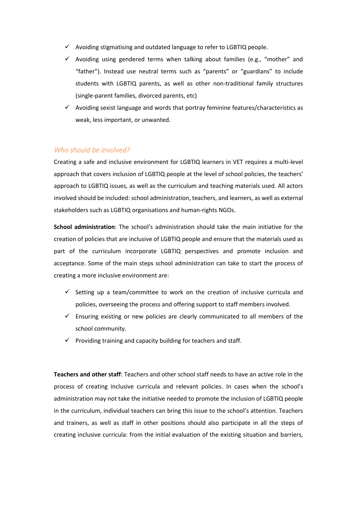- $\checkmark$  Avoiding stigmatising and outdated language to refer to LGBTIQ people.
- $\checkmark$  Avoiding using gendered terms when talking about families (e.g., "mother" and "father"). Instead use neutral terms such as "parents" or "guardians" to include students with LGBTIQ parents, as well as other non-traditional family structures (single-parent families, divorced parents, etc)
- $\checkmark$  Avoiding sexist language and words that portray feminine features/characteristics as weak, less important, or unwanted.

### <span id="page-26-0"></span>*Who should be involved?*

Creating a safe and inclusive environment for LGBTIQ learners in VET requires a multi-level approach that covers inclusion of LGBTIQ people at the level of school policies, the teachers' approach to LGBTIQ issues, as well as the curriculum and teaching materials used. All actors involved should be included: school administration, teachers, and learners, as well as external stakeholders such as LGBTIQ organisations and human-rights NGOs.

**School administration**: The school's administration should take the main initiative for the creation of policies that are inclusive of LGBTIQ people and ensure that the materials used as part of the curriculum incorporate LGBTIQ perspectives and promote inclusion and acceptance. Some of the main steps school administration can take to start the process of creating a more inclusive environment are:

- $\checkmark$  Setting up a team/committee to work on the creation of inclusive curricula and policies, overseeing the process and offering support to staff members involved.
- $\checkmark$  Ensuring existing or new policies are clearly communicated to all members of the school community.
- $\checkmark$  Providing training and capacity building for teachers and staff.

**Teachers and other staff**: Teachers and other school staff needs to have an active role in the process of creating inclusive curricula and relevant policies. In cases when the school's administration may not take the initiative needed to promote the inclusion of LGBTIQ people in the curriculum, individual teachers can bring this issue to the school's attention. Teachers and trainers, as well as staff in other positions should also participate in all the steps of creating inclusive curricula: from the initial evaluation of the existing situation and barriers,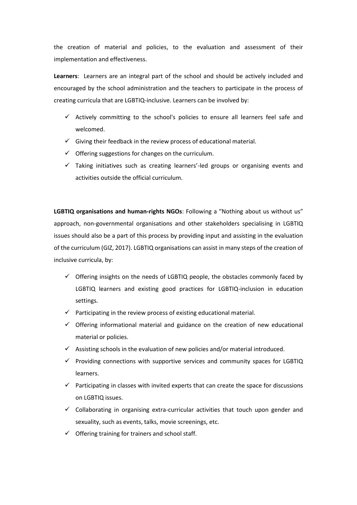the creation of material and policies, to the evaluation and assessment of their implementation and effectiveness.

**Learners**: Learners are an integral part of the school and should be actively included and encouraged by the school administration and the teachers to participate in the process of creating curricula that are LGBTIQ-inclusive. Learners can be involved by:

- $\checkmark$  Actively committing to the school's policies to ensure all learners feel safe and welcomed.
- $\checkmark$  Giving their feedback in the review process of educational material.
- $\checkmark$  Offering suggestions for changes on the curriculum.
- $\checkmark$  Taking initiatives such as creating learners'-led groups or organising events and activities outside the official curriculum.

**LGBTIQ organisations and human-rights NGOs**: Following a "Nothing about us without us" approach, non-governmental organisations and other stakeholders specialising in LGBTIQ issues should also be a part of this process by providing input and assisting in the evaluation of the curriculum (GIZ, 2017). LGBTIQ organisations can assist in many steps of the creation of inclusive curricula, by:

- $\checkmark$  Offering insights on the needs of LGBTIQ people, the obstacles commonly faced by LGBTIQ learners and existing good practices for LGBTIQ-inclusion in education settings.
- $\checkmark$  Participating in the review process of existing educational material.
- $\checkmark$  Offering informational material and guidance on the creation of new educational material or policies.
- $\checkmark$  Assisting schools in the evaluation of new policies and/or material introduced.
- $\checkmark$  Providing connections with supportive services and community spaces for LGBTIQ learners.
- $\checkmark$  Participating in classes with invited experts that can create the space for discussions on LGBTIQ issues.
- $\checkmark$  Collaborating in organising extra-curricular activities that touch upon gender and sexuality, such as events, talks, movie screenings, etc.
- $\checkmark$  Offering training for trainers and school staff.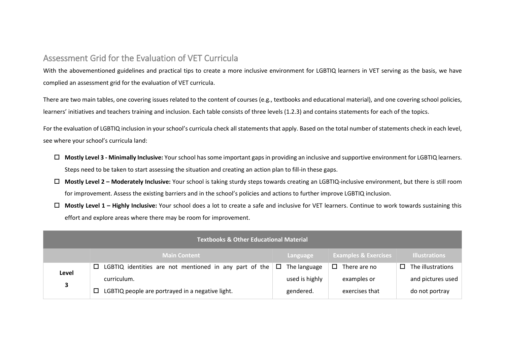# Assessment Grid for the Evaluation of VET Curricula

With the abovementioned guidelines and practical tips to create a more inclusive environment for LGBTIQ learners in VET serving as the basis, we have complied an assessment grid for the evaluation of VET curricula.

There are two main tables, one covering issues related to the content of courses (e.g., textbooks and educational material), and one covering school policies, learners' initiatives and teachers training and inclusion. Each table consists of three levels (1.2.3) and contains statements for each of the topics.

For the evaluation of LGBTIQ inclusion in your school's curricula check all statements that apply. Based on the total number of statements check in each level, see where your school's curricula land:

- **Mostly Level 3 - Minimally Inclusive:** Your school has some important gaps in providing an inclusive and supportive environment for LGBTIQ learners. Steps need to be taken to start assessing the situation and creating an action plan to fill-in these gaps.
- **Mostly Level 2 – Moderately Inclusive:** Your school is taking sturdy steps towards creating an LGBTIQ-inclusive environment, but there is still room for improvement. Assess the existing barriers and in the school's policies and actions to further improve LGBTIQ inclusion.
- <span id="page-28-0"></span> **Mostly Level 1 – Highly Inclusive:** Your school does a lot to create a safe and inclusive for VET learners. Continue to work towards sustaining this effort and explore areas where there may be room for improvement.

|              | <b>Textbooks &amp; Other Educational Material</b>                               |                |                                 |                             |  |  |  |  |
|--------------|---------------------------------------------------------------------------------|----------------|---------------------------------|-----------------------------|--|--|--|--|
|              | <b>Main Content</b>                                                             | Language       | <b>Examples &amp; Exercises</b> | <b>Illustrations</b>        |  |  |  |  |
| Level        | LGBTIQ identities are not mentioned in any part of the $\Box$ The language<br>0 |                | There are no<br>□.              | The illustrations<br>$\Box$ |  |  |  |  |
| $\mathbf{3}$ | curriculum.                                                                     | used is highly | examples or                     | and pictures used           |  |  |  |  |
|              | LGBTIQ people are portrayed in a negative light.<br>□                           | gendered.      | exercises that                  | do not portray              |  |  |  |  |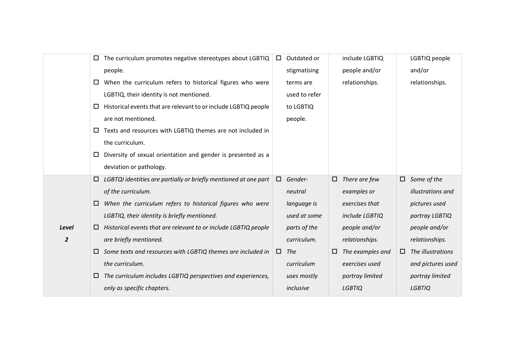|                | The curriculum promotes negative stereotypes about LGBTIQ<br>$\Box$       | Outdated or       | include LGBTIQ          | LGBTIQ people          |
|----------------|---------------------------------------------------------------------------|-------------------|-------------------------|------------------------|
|                | people.                                                                   | stigmatising      | people and/or           | and/or                 |
|                | When the curriculum refers to historical figures who were<br>$\Box$       | terms are         | relationships.          | relationships.         |
|                | LGBTIQ, their identity is not mentioned.                                  | used to refer     |                         |                        |
|                | Historical events that are relevant to or include LGBTIQ people<br>□      | to LGBTIQ         |                         |                        |
|                | are not mentioned.                                                        | people.           |                         |                        |
|                | Texts and resources with LGBTIQ themes are not included in<br>$\Box$      |                   |                         |                        |
|                | the curriculum.                                                           |                   |                         |                        |
|                | Diversity of sexual orientation and gender is presented as a<br>$\Box$    |                   |                         |                        |
|                | deviation or pathology.                                                   |                   |                         |                        |
|                | LGBTQI identities are partially or briefly mentioned at one part<br>□     | Gender-<br>$\Box$ | There are few<br>$\Box$ | Some of the<br>$\Box$  |
|                | of the curriculum.                                                        | neutral           | examples or             | illustrations and      |
|                | When the curriculum refers to historical figures who were<br>□            | language is       | exercises that          | pictures used          |
|                | LGBTIQ, their identity is briefly mentioned.                              | used at some      | include LGBTIQ          | portray LGBTIQ         |
| Level          | Historical events that are relevant to or include LGBTIQ people<br>$\Box$ | parts of the      | people and/or           | people and/or          |
| $\overline{2}$ | are briefly mentioned.                                                    | curriculum.       | relationships.          | relationships.         |
|                | Some texts and resources with LGBTIQ themes are included in<br>$\Box$     | $\Box$<br>The     | The examples and<br>□   | The illustrations<br>□ |
|                | the curriculum.                                                           | curriculum        | exercises used          | and pictures used      |
|                | The curriculum includes LGBTIQ perspectives and experiences,<br>⊔         | uses mostly       | portray limited         | portray limited        |
|                | only as specific chapters.                                                | inclusive         | <b>LGBTIQ</b>           | <b>LGBTIQ</b>          |
|                |                                                                           |                   |                         |                        |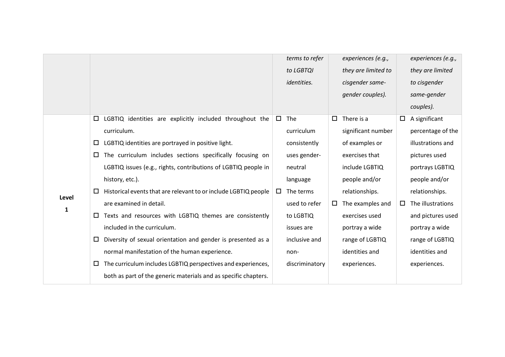|       |        |                                                                 |        | terms to refer     |        | experiences (e.g.,  |        | experiences (e.g., |
|-------|--------|-----------------------------------------------------------------|--------|--------------------|--------|---------------------|--------|--------------------|
|       |        |                                                                 |        | to LGBTQI          |        | they are limited to |        | they are limited   |
|       |        |                                                                 |        | <i>identities.</i> |        | cisgender same-     |        | to cisgender       |
|       |        |                                                                 |        |                    |        | gender couples).    |        | same-gender        |
|       |        |                                                                 |        |                    |        |                     |        | couples).          |
|       | $\Box$ | LGBTIQ identities are explicitly included throughout the        | $\Box$ | The                | $\Box$ | There is a          | $\Box$ | A significant      |
|       |        | curriculum.                                                     |        | curriculum         |        | significant number  |        | percentage of the  |
|       | $\Box$ | LGBTIQ identities are portrayed in positive light.              |        | consistently       |        | of examples or      |        | illustrations and  |
|       | $\Box$ | The curriculum includes sections specifically focusing on       |        | uses gender-       |        | exercises that      |        | pictures used      |
|       |        | LGBTIQ issues (e.g., rights, contributions of LGBTIQ people in  |        | neutral            |        | include LGBTIQ      |        | portrays LGBTIQ    |
|       |        | history, etc.).                                                 |        | language           |        | people and/or       |        | people and/or      |
|       | ш      | Historical events that are relevant to or include LGBTIQ people | ப      | The terms          |        | relationships.      |        | relationships.     |
| Level |        | are examined in detail.                                         |        | used to refer      | $\Box$ | The examples and    | $\Box$ | The illustrations  |
| 1     | □      | Texts and resources with LGBTIQ themes are consistently         |        | to LGBTIQ          |        | exercises used      |        | and pictures used  |
|       |        | included in the curriculum.                                     |        | issues are         |        | portray a wide      |        | portray a wide     |
|       | □      | Diversity of sexual orientation and gender is presented as a    |        | inclusive and      |        | range of LGBTIQ     |        | range of LGBTIQ    |
|       |        | normal manifestation of the human experience.                   |        | non-               |        | identities and      |        | identities and     |
|       | □      | The curriculum includes LGBTIQ perspectives and experiences,    |        | discriminatory     |        | experiences.        |        | experiences.       |
|       |        | both as part of the generic materials and as specific chapters. |        |                    |        |                     |        |                    |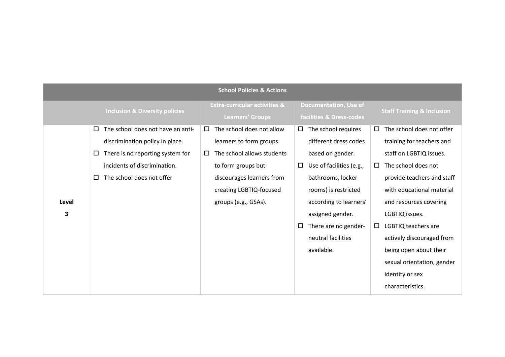|            | <b>School Policies &amp; Actions</b>                                                                                                                                                           |                                                                                                                                                                                                               |                                                                                                                                                                                                        |                                                                                                                                                                                                                           |  |  |  |
|------------|------------------------------------------------------------------------------------------------------------------------------------------------------------------------------------------------|---------------------------------------------------------------------------------------------------------------------------------------------------------------------------------------------------------------|--------------------------------------------------------------------------------------------------------------------------------------------------------------------------------------------------------|---------------------------------------------------------------------------------------------------------------------------------------------------------------------------------------------------------------------------|--|--|--|
|            | <b>Inclusion &amp; Diversity policies</b>                                                                                                                                                      | <b>Extra-curricular activities &amp;</b><br><b>Learners' Groups</b>                                                                                                                                           | <b>Documentation, Use of</b><br>facilities & Dress-codes                                                                                                                                               | <b>Staff Training &amp; Inclusion</b>                                                                                                                                                                                     |  |  |  |
| Level<br>3 | The school does not have an anti-<br>$\Box$<br>discrimination policy in place.<br>There is no reporting system for<br>$\Box$<br>incidents of discrimination.<br>The school does not offer<br>□ | The school does not allow<br>$\Box$<br>learners to form groups.<br>The school allows students<br>$\Box$<br>to form groups but<br>discourages learners from<br>creating LGBTIQ-focused<br>groups (e.g., GSAs). | The school requires<br>$\Box$<br>different dress codes<br>based on gender.<br>Use of facilities (e.g.,<br>0<br>bathrooms, locker<br>rooms) is restricted<br>according to learners'<br>assigned gender. | The school does not offer<br>□<br>training for teachers and<br>staff on LGBTIQ issues.<br>The school does not<br>0<br>provide teachers and staff<br>with educational material<br>and resources covering<br>LGBTIQ issues. |  |  |  |
|            |                                                                                                                                                                                                |                                                                                                                                                                                                               | There are no gender-<br>0<br>neutral facilities<br>available.                                                                                                                                          | LGBTIQ teachers are<br>$\Box$<br>actively discouraged from<br>being open about their<br>sexual orientation, gender<br>identity or sex<br>characteristics.                                                                 |  |  |  |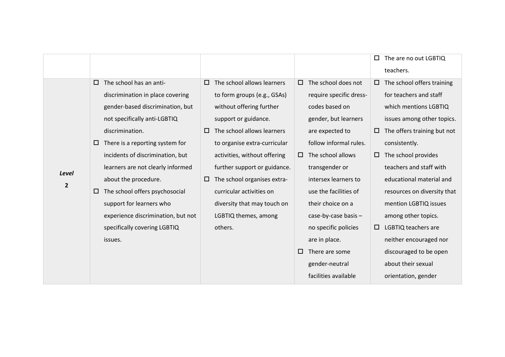|                |   |                                    |        |                              |        |                         | □ | The are no out LGBTIQ       |
|----------------|---|------------------------------------|--------|------------------------------|--------|-------------------------|---|-----------------------------|
|                |   |                                    |        |                              |        |                         |   | teachers.                   |
|                | □ | The school has an anti-            | $\Box$ | The school allows learners   | $\Box$ | The school does not     | □ | The school offers training  |
|                |   | discrimination in place covering   |        | to form groups (e.g., GSAs)  |        | require specific dress- |   | for teachers and staff      |
|                |   | gender-based discrimination, but   |        | without offering further     |        | codes based on          |   | which mentions LGBTIQ       |
|                |   | not specifically anti-LGBTIQ       |        | support or guidance.         |        | gender, but learners    |   | issues among other topics.  |
|                |   | discrimination.                    | $\Box$ | The school allows learners   |        | are expected to         | □ | The offers training but not |
|                | □ | There is a reporting system for    |        | to organise extra-curricular |        | follow informal rules.  |   | consistently.               |
|                |   | incidents of discrimination, but   |        | activities, without offering | $\Box$ | The school allows       | □ | The school provides         |
| <b>Level</b>   |   | learners are not clearly informed  |        | further support or guidance. |        | transgender or          |   | teachers and staff with     |
| $\overline{2}$ |   | about the procedure.               | $\Box$ | The school organises extra-  |        | intersex learners to    |   | educational material and    |
|                | □ | The school offers psychosocial     |        | curricular activities on     |        | use the facilities of   |   | resources on diversity that |
|                |   | support for learners who           |        | diversity that may touch on  |        | their choice on a       |   | mention LGBTIQ issues       |
|                |   | experience discrimination, but not |        | LGBTIQ themes, among         |        | case-by-case basis -    |   | among other topics.         |
|                |   | specifically covering LGBTIQ       |        | others.                      |        | no specific policies    | 0 | LGBTIQ teachers are         |
|                |   | issues.                            |        |                              |        | are in place.           |   | neither encouraged nor      |
|                |   |                                    |        |                              | □      | There are some          |   | discouraged to be open      |
|                |   |                                    |        |                              |        | gender-neutral          |   | about their sexual          |
|                |   |                                    |        |                              |        | facilities available    |   | orientation, gender         |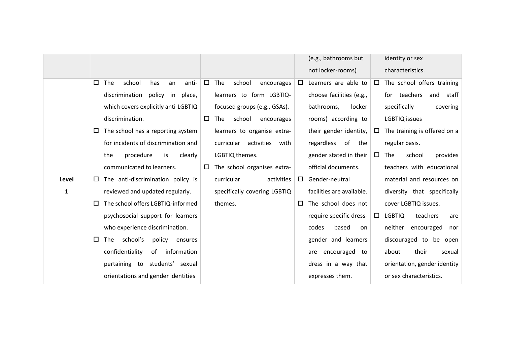|              |                                                |                                       | (e.g., bathrooms but<br>identity or sex                                |
|--------------|------------------------------------------------|---------------------------------------|------------------------------------------------------------------------|
|              |                                                |                                       | not locker-rooms)<br>characteristics.                                  |
|              | The<br>$\Box$<br>school<br>has<br>anti-<br>an  | $\Box$<br>The<br>school<br>encourages | The school offers training<br>Learners are able to<br>$\Box$<br>$\Box$ |
|              | discrimination<br>policy in place,             | learners to form LGBTIQ-              | choose facilities (e.g.,<br>for teachers<br>and staff                  |
|              | which covers explicitly anti-LGBTIQ            | focused groups (e.g., GSAs).          | specifically<br>bathrooms,<br>locker<br>covering                       |
|              | discrimination.                                | $\Box$<br>The<br>school<br>encourages | rooms) according to<br>LGBTIQ issues                                   |
|              | The school has a reporting system<br>□         | learners to organise extra-           | The training is offered on a<br>their gender identity,<br>$\Box$       |
|              | for incidents of discrimination and            | curricular activities<br>with         | regardless of the<br>regular basis.                                    |
|              | procedure<br>clearly<br>the<br>is              | LGBTIQ themes.                        | gender stated in their<br>The<br>school<br>$\Box$<br>provides          |
|              | communicated to learners.                      | The school organises extra-<br>$\Box$ | official documents.<br>teachers with educational                       |
| Level        | The anti-discrimination policy is<br>$\Box$    | curricular<br>activities              | Gender-neutral<br>material and resources on<br>$\Box$                  |
| $\mathbf{1}$ | reviewed and updated regularly.                | specifically covering LGBTIQ          | facilities are available.<br>diversity that specifically               |
|              | The school offers LGBTIQ-informed<br>□         | themes.                               | The school does not<br>cover LGBTIQ issues.<br>$\Box$                  |
|              | psychosocial support for learners              |                                       | <b>LGBTIQ</b><br>require specific dress-<br>teachers<br>0<br>are       |
|              | who experience discrimination.                 |                                       | neither<br>encouraged<br>codes<br>based<br>on<br>nor                   |
|              | school's<br>$\Box$<br>The<br>policy<br>ensures |                                       | gender and learners<br>discouraged to be open                          |
|              | confidentiality<br>information<br>of           |                                       | their<br>encouraged<br>about<br>to<br>sexual<br>are                    |
|              | pertaining to students' sexual                 |                                       | dress in a way that<br>orientation, gender identity                    |
|              | orientations and gender identities             |                                       | expresses them.<br>or sex characteristics.                             |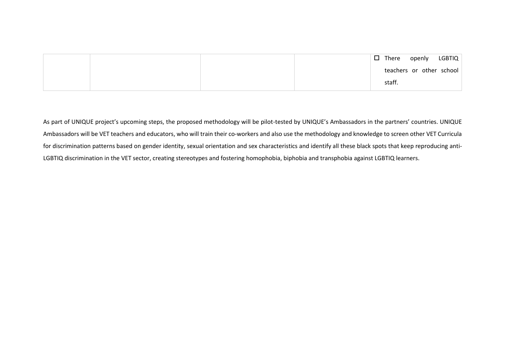|  | $\square$ There | openly                   | LGBTIQ |
|--|-----------------|--------------------------|--------|
|  |                 | teachers or other school |        |
|  | staff.          |                          |        |

As part of UNIQUE project's upcoming steps, the proposed methodology will be pilot-tested by UNIQUE's Ambassadors in the partners' countries. UNIQUE Ambassadors will be VET teachers and educators, who will train their co-workers and also use the methodology and knowledge to screen other VET Curricula for discrimination patterns based on gender identity, sexual orientation and sex characteristics and identify all these black spots that keep reproducing anti-LGBTIQ discrimination in the VET sector, creating stereotypes and fostering homophobia, biphobia and transphobia against LGBTIQ learners.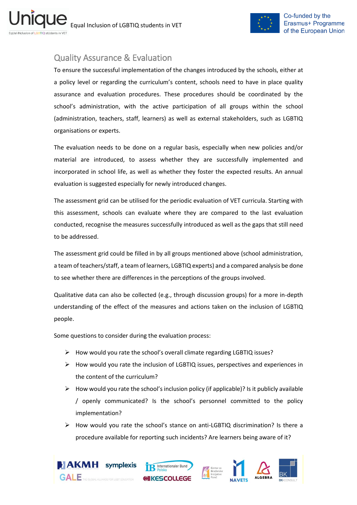

# <span id="page-35-0"></span>Quality Assurance & Evaluation

To ensure the successful implementation of the changes introduced by the schools, either at a policy level or regarding the curriculum's content, schools need to have in place quality assurance and evaluation procedures. These procedures should be coordinated by the school's administration, with the active participation of all groups within the school (administration, teachers, staff, learners) as well as external stakeholders, such as LGBTIQ organisations or experts.

The evaluation needs to be done on a regular basis, especially when new policies and/or material are introduced, to assess whether they are successfully implemented and incorporated in school life, as well as whether they foster the expected results. An annual evaluation is suggested especially for newly introduced changes.

The assessment grid can be utilised for the periodic evaluation of VET curricula. Starting with this assessment, schools can evaluate where they are compared to the last evaluation conducted, recognise the measures successfully introduced as well as the gaps that still need to be addressed.

The assessment grid could be filled in by all groups mentioned above (school administration, a team of teachers/staff, a team of learners, LGBTIQ experts) and a compared analysis be done to see whether there are differences in the perceptions of the groups involved.

Qualitative data can also be collected (e.g., through discussion groups) for a more in-depth understanding of the effect of the measures and actions taken on the inclusion of LGBTIQ people.

Some questions to consider during the evaluation process:

- ➢ How would you rate the school's overall climate regarding LGBTIQ issues?
- $\triangleright$  How would you rate the inclusion of LGBTIQ issues, perspectives and experiences in the content of the curriculum?
- $\triangleright$  How would you rate the school's inclusion policy (if applicable)? Is it publicly available / openly communicated? Is the school's personnel committed to the policy implementation?
- $\triangleright$  How would you rate the school's stance on anti-LGBTIQ discrimination? Is there a procedure available for reporting such incidents? Are learners being aware of it?

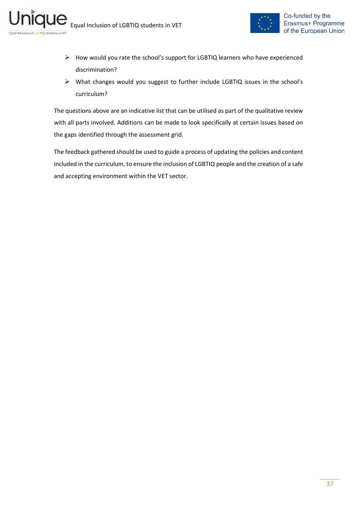

- ➢ How would you rate the school's support for LGBTIQ learners who have experienced discrimination?
- ➢ What changes would you suggest to further include LGBTIQ issues in the school's curriculum?

The questions above are an indicative list that can be utilised as part of the qualitative review with all parts involved. Additions can be made to look specifically at certain issues based on the gaps identified through the assessment grid.

The feedback gathered should be used to guide a process of updating the policies and content included in the curriculum, to ensure the inclusion of LGBTIQ people and the creation of a safe and accepting environment within the VET sector.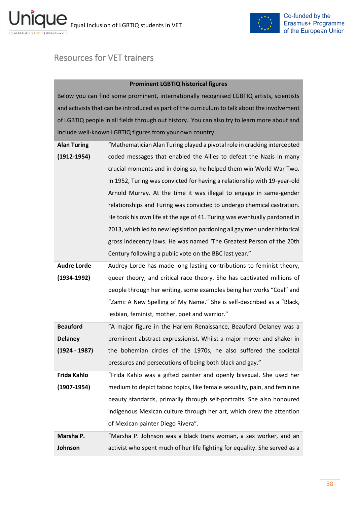

# <span id="page-37-0"></span>Resources for VET trainers

### **Prominent LGBTIQ historical figures**

Below you can find some prominent, internationally recognised LGBTIQ artists, scientists and activists that can be introduced as part of the curriculum to talk about the involvement of LGBTIQ people in all fields through out history. You can also try to learn more about and include well-known LGBTIQ figures from your own country.

| <b>Alan Turing</b> | "Mathematician Alan Turing played a pivotal role in cracking intercepted  |
|--------------------|---------------------------------------------------------------------------|
| $(1912 - 1954)$    | coded messages that enabled the Allies to defeat the Nazis in many        |
|                    | crucial moments and in doing so, he helped them win World War Two.        |
|                    | In 1952, Turing was convicted for having a relationship with 19-year-old  |
|                    | Arnold Murray. At the time it was illegal to engage in same-gender        |
|                    | relationships and Turing was convicted to undergo chemical castration.    |
|                    | He took his own life at the age of 41. Turing was eventually pardoned in  |
|                    | 2013, which led to new legislation pardoning all gay men under historical |
|                    | gross indecency laws. He was named 'The Greatest Person of the 20th       |
|                    | Century following a public vote on the BBC last year."                    |
| <b>Audre Lorde</b> | Audrey Lorde has made long lasting contributions to feminist theory,      |
| $(1934 - 1992)$    | queer theory, and critical race theory. She has captivated millions of    |
|                    | people through her writing, some examples being her works "Coal" and      |
|                    | "Zami: A New Spelling of My Name." She is self-described as a "Black,     |
|                    | lesbian, feminist, mother, poet and warrior."                             |
| <b>Beauford</b>    | "A major figure in the Harlem Renaissance, Beauford Delaney was a         |
| <b>Delaney</b>     | prominent abstract expressionist. Whilst a major mover and shaker in      |
| $(1924 - 1987)$    | the bohemian circles of the 1970s, he also suffered the societal          |
|                    | pressures and persecutions of being both black and gay."                  |
| Frida Kahlo        | "Frida Kahlo was a gifted painter and openly bisexual. She used her       |
| $(1907-1954)$      | medium to depict taboo topics, like female sexuality, pain, and feminine  |
|                    | beauty standards, primarily through self-portraits. She also honoured     |
|                    | indigenous Mexican culture through her art, which drew the attention      |
|                    |                                                                           |
|                    | of Mexican painter Diego Rivera".                                         |
| Marsha P.          | "Marsha P. Johnson was a black trans woman, a sex worker, and an          |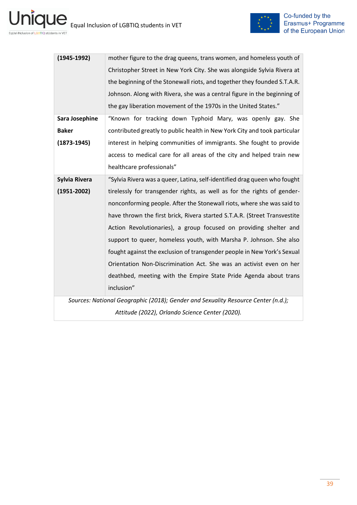

| $(1945-1992)$                                                                     | mother figure to the drag queens, trans women, and homeless youth of      |
|-----------------------------------------------------------------------------------|---------------------------------------------------------------------------|
|                                                                                   | Christopher Street in New York City. She was alongside Sylvia Rivera at   |
|                                                                                   | the beginning of the Stonewall riots, and together they founded S.T.A.R.  |
|                                                                                   | Johnson. Along with Rivera, she was a central figure in the beginning of  |
|                                                                                   | the gay liberation movement of the 1970s in the United States."           |
| Sara Josephine                                                                    | "Known for tracking down Typhoid Mary, was openly gay. She                |
| <b>Baker</b>                                                                      | contributed greatly to public health in New York City and took particular |
| $(1873 - 1945)$                                                                   | interest in helping communities of immigrants. She fought to provide      |
|                                                                                   | access to medical care for all areas of the city and helped train new     |
|                                                                                   | healthcare professionals"                                                 |
| <b>Sylvia Rivera</b>                                                              | "Sylvia Rivera was a queer, Latina, self-identified drag queen who fought |
| $(1951 - 2002)$                                                                   | tirelessly for transgender rights, as well as for the rights of gender-   |
|                                                                                   | nonconforming people. After the Stonewall riots, where she was said to    |
|                                                                                   | have thrown the first brick, Rivera started S.T.A.R. (Street Transvestite |
|                                                                                   | Action Revolutionaries), a group focused on providing shelter and         |
|                                                                                   | support to queer, homeless youth, with Marsha P. Johnson. She also        |
|                                                                                   | fought against the exclusion of transgender people in New York's Sexual   |
|                                                                                   | Orientation Non-Discrimination Act. She was an activist even on her       |
|                                                                                   | deathbed, meeting with the Empire State Pride Agenda about trans          |
|                                                                                   | inclusion"                                                                |
| Sources: National Geographic (2018); Gender and Sexuality Resource Center (n.d.); |                                                                           |
| Attitude (2022), Orlando Science Center (2020).                                   |                                                                           |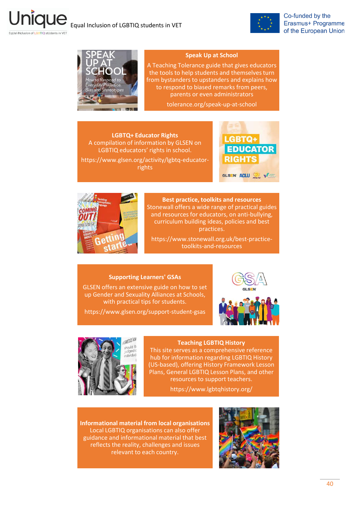



Follal iNclusion of LGBTIO stilldents in VET

### **Speak Up at School**

A Teaching Tolerance guide that gives educators the tools to help students and themselves turn from bystanders to upstanders and explains how to respond to biased remarks from peers, parents or even administrators

tolerance.org/speak-up-at-school

**LGBTQ+ Educator Rights** A compilation of information by GLSEN on LGBTIQ educators' rights in school. [https://www.glsen.org/activity/lgbtq-educator](https://www.glsen.org/activity/lgbtq-educator-rights)rights





**Best practice, toolkits and resources**  [Stonewall offers a wide range of practical guides](https://www.stonewall.org.uk/best-practice-toolkits-and-resources-0?role=396&location=All&topic=486&target_organisation=521&page=2)  and resources for educators, on anti-bullying, curriculum building ideas, policies and best practices.

https://www.stonewall.org.uk/best-practicetoolkits-and-resources

#### **Supporting Learners' GSAs**

[GLSEN offers an extensive guide on how to set](https://www.glsen.org/support-student-gsas)  up Gender and Sexuality Alliances at Schools, with practical tips for students.

https://www.glsen.org/support-student-gsas





#### **Teaching LGBTIQ History**

This site serves as a comprehensive reference hub for information regarding LGBTIQ History [\(US-based\), offering History Framework Lesson](http://www.lgbtqhistory.org/)  Plans, General LGBTIQ Lesson Plans, and other resources to support teachers.

https://www.lgbtqhistory.org/

**Informational material from local organisations** Local LGBTIQ organisations can also offer guidance and informational material that best reflects the reality, challenges and issues relevant to each country.

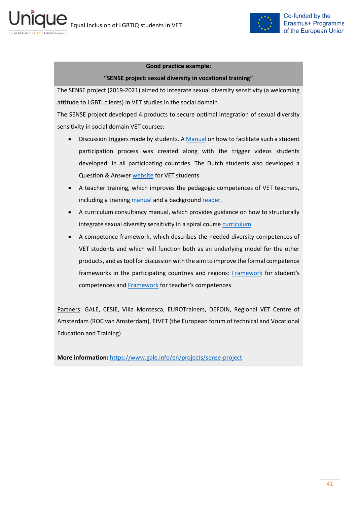

### **Good practice example:**

### **"SENSE project: sexual diversity in vocational training"**

The SENSE project (2019-2021) aimed to integrate sexual diversity sensitivity (a welcoming attitude to LGBTI clients) in VET studies in the social domain.

The SENSE project developed 4 products to secure optimal integration of sexual diversity sensitivity in social domain VET courses:

- Discussion triggers made by students. A [Manual](https://www.gale.info/doc/project-sense/IO1_Trigger_Technology_Manual_EN.pdf) on how to facilitate such a student participation process was created along with the trigger videos students developed: in all participating countries. The Dutch students also developed a Question & Answer [website](file:///C:/Users/topalidi/AppData/Local/Microsoft/Windows/INetCache/Content.Outlook/7BE1FIF5/GIN-GEN.com) for VET students
- A teacher training, which improves the pedagogic competences of VET teachers, including a trainin[g manual](https://www.gale.info/doc/project-sense/IO2_My-ID_Training_on_Sexual_Diversity_for_Vocational_Teachers_2019_EN.pdf) and a background [reader.](https://www.gale.info/doc/project-sense/IO2_My-ID_Reader_Sexual_Diversity_in_Schools_2019_EN.pdf)
- A curriculum consultancy manual, which provides guidance on how to structurally integrate sexual diversity sensitivity in a spiral course [curriculum](https://www.gale.info/doc/project-sense/IO3_Manual-Curriculum_Consultancy_EN.pdf)
- A competence framework, which describes the needed diversity competences of VET students and which will function both as an underlying model for the other products, and as tool for discussion with the aim to improve the formal competence frameworks in the participating countries and regions: [Framework](https://www.gale.info/doc/project-sense/IO4_StudentsCompetenceFramework_EN.pdf) for student's competences and [Framework](https://www.gale.info/doc/project-sense/IO4_TeachersCompetenceFramework_EN.pdf) for teacher's competences.

Partners: GALE, CESIE, Villa Montesca, EUROTrainers, DEFOIN, Regional VET Centre of Amsterdam (ROC van Amsterdam), EfVET (the European forum of technical and Vocational Education and Training)

**More information:** <https://www.gale.info/en/projects/sense-project>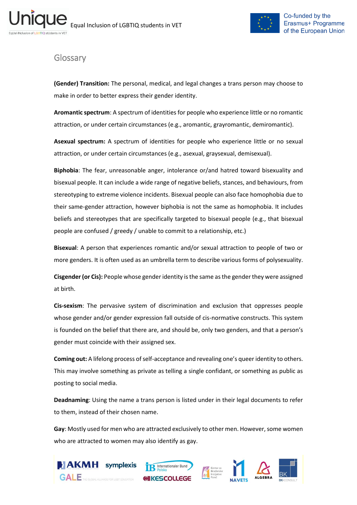

# <span id="page-41-0"></span>**Glossary**

**(Gender) Transition:** The personal, medical, and legal changes a trans person may choose to make in order to better express their gender identity.

**Aromantic spectrum**: A spectrum of identities for people who experience little or no romantic attraction, or under certain circumstances (e.g., aromantic, grayromantic, demiromantic).

**Asexual spectrum:** A spectrum of identities for people who experience little or no sexual attraction, or under certain circumstances (e.g., asexual, graysexual, demisexual).

**Biphobia**: The fear, unreasonable anger, intolerance or/and hatred toward bisexuality and bisexual people. It can include a wide range of negative beliefs, stances, and behaviours, from stereotyping to extreme violence incidents. Bisexual people can also face homophobia due to their same-gender attraction, however biphobia is not the same as homophobia. It includes beliefs and stereotypes that are specifically targeted to bisexual people (e.g., that bisexual people are confused / greedy / unable to commit to a relationship, etc.)

**Bisexual**: A person that experiences romantic and/or sexual attraction to people of two or more genders. It is often used as an umbrella term to describe various forms of polysexuality.

**Cisgender (or Cis):** People whose gender identity is the same as the gender they were assigned at birth.

**Cis-sexism**: The pervasive system of discrimination and exclusion that oppresses people whose gender and/or gender expression fall outside of cis-normative constructs. This system is founded on the belief that there are, and should be, only two genders, and that a person's gender must coincide with their assigned sex.

**Coming out:** A lifelong process of self-acceptance and revealing one's queer identity to others. This may involve something as private as telling a single confidant, or something as public as posting to social media.

**Deadnaming**: Using the name a trans person is listed under in their legal documents to refer to them, instead of their chosen name.

**Gay**: Mostly used for men who are attracted exclusively to other men. However, some women who are attracted to women may also identify as gay.



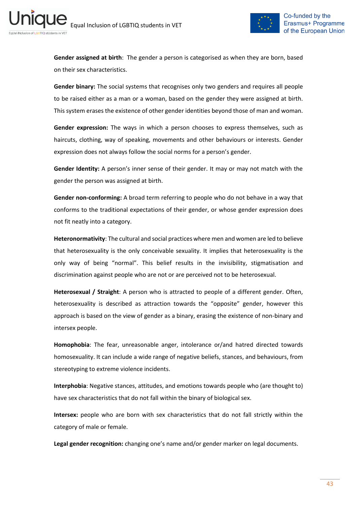ni



**Gender assigned at birth**: The gender a person is categorised as when they are born, based on their sex characteristics.

**Gender binary:** The social systems that recognises only two genders and requires all people to be raised either as a man or a woman, based on the gender they were assigned at birth. This system erases the existence of other gender identities beyond those of man and woman.

**Gender expression:** The ways in which a person chooses to express themselves, such as haircuts, clothing, way of speaking, movements and other behaviours or interests. Gender expression does not always follow the social norms for a person's gender.

**Gender Identity:** A person's inner sense of their gender. It may or may not match with the gender the person was assigned at birth.

**Gender non-conforming:** A broad term referring to people who do not behave in a way that conforms to the traditional expectations of their gender, or whose gender expression does not fit neatly into a category.

**Heteronormativity**: The cultural and social practices where men and women are led to believe that heterosexuality is the only conceivable sexuality. It implies that heterosexuality is the only way of being "normal". This belief results in the invisibility, stigmatisation and discrimination against people who are not or are perceived not to be heterosexual.

**Heterosexual / Straight**: A person who is attracted to people of a different gender. Often, heterosexuality is described as attraction towards the "opposite" gender, however this approach is based on the view of gender as a binary, erasing the existence of non-binary and intersex people.

**Homophobia**: The fear, unreasonable anger, intolerance or/and hatred directed towards homosexuality. It can include a wide range of negative beliefs, stances, and behaviours, from stereotyping to extreme violence incidents.

**Interphobia**: Negative stances, attitudes, and emotions towards people who (are thought to) have sex characteristics that do not fall within the binary of biological sex.

**Intersex:** people who are born with sex characteristics that do not fall strictly within the category of male or female.

**Legal gender recognition:** changing one's name and/or gender marker on legal documents.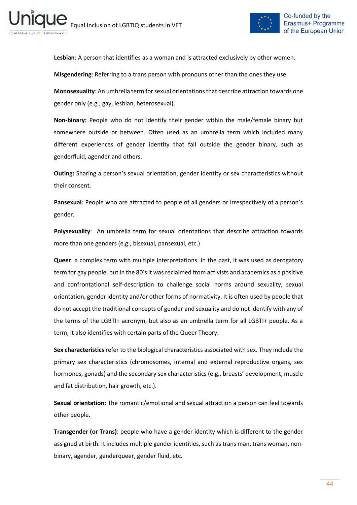

**Lesbian**: A person that identifies as a woman and is attracted exclusively by other women.

**Misgendering**: Referring to a trans person with pronouns other than the ones they use

**Monosexuality**: An umbrella term for sexual orientations that describe attraction towards one gender only (e.g., gay, lesbian, heterosexual).

**Non-binary:** People who do not identify their gender within the male/female binary but somewhere outside or between. Often used as an umbrella term which included many different experiences of gender identity that fall outside the gender binary, such as genderfluid, agender and others.

**Outing:** Sharing a person's sexual orientation, gender identity or sex characteristics without their consent.

**Pansexual**: People who are attracted to people of all genders or irrespectively of a person's gender.

**Polysexuality**: An umbrella term for sexual orientations that describe attraction towards more than one genders (e.g., bisexual, pansexual, etc.)

**Queer**: a complex term with multiple interpretations. In the past, it was used as derogatory term for gay people, but in the 80's it was reclaimed from activists and academics as a positive and confrontational self-description to challenge social norms around sexuality, sexual orientation, gender identity and/or other forms of normativity. It is often used by people that do not accept the traditional concepts of gender and sexuality and do not identify with any of the terms of the LGBTI+ acronym, but also as an umbrella term for all LGBTI+ people. As a term, it also identifies with certain parts of the Queer Theory.

**Sex characteristics** refer to the biological characteristics associated with sex. They include the primary sex characteristics (chromosomes, internal and external reproductive organs, sex hormones, gonads) and the secondary sex characteristics (e.g., breasts' development, muscle and fat distribution, hair growth, etc.).

**Sexual orientation**: The romantic/emotional and sexual attraction a person can feel towards other people.

**Transgender (or Trans)**: people who have a gender identity which is different to the gender assigned at birth. It includes multiple gender identities, such as trans man, trans woman, nonbinary, agender, genderqueer, gender fluid, etc.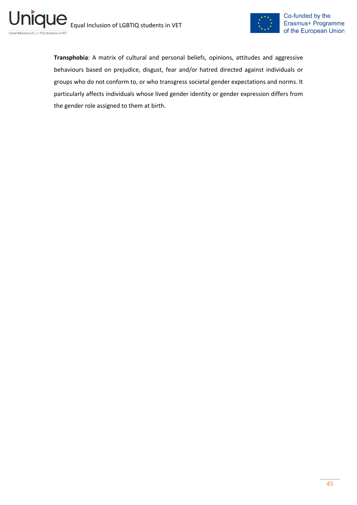



**Transphobia**: A matrix of cultural and personal beliefs, opinions, attitudes and aggressive behaviours based on prejudice, disgust, fear and/or hatred directed against individuals or groups who do not conform to, or who transgress societal gender expectations and norms. It particularly affects individuals whose lived gender identity or gender expression differs from the gender role assigned to them at birth.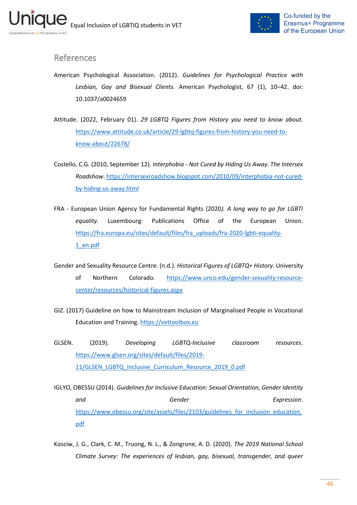

# <span id="page-45-0"></span>References

- American Psychological Association. (2012). *Guidelines for Psychological Practice with Lesbian, Gay and Bisexual Clients.* American Psychologist, 67 (1), 10–42. doi: 10.1037/a0024659
- Attitude. (2022, February 01). *29 LGBTQ Figures from History you need to know about.* [https://www.attitude.co.uk/article/29-lgbtq-figures-from-history-you-need-to](https://www.attitude.co.uk/article/29-lgbtq-figures-from-history-you-need-to-know-about/22678/)[know-about/22678/](https://www.attitude.co.uk/article/29-lgbtq-figures-from-history-you-need-to-know-about/22678/)
- Costello, C.G. (2010, September 12). *Interphobia - Not Cured by Hiding Us Away. The Intersex Roadshow*[. https://intersexroadshow.blogspot.com/2010/09/interphobia-not-cured](https://intersexroadshow.blogspot.com/2010/09/interphobia-not-cured-by-hiding-us-away.html)[by-hiding-us-away.html](https://intersexroadshow.blogspot.com/2010/09/interphobia-not-cured-by-hiding-us-away.html)
- FRA European Union Agency for Fundamental Rights (2020*). A long way to go for LGBTI equality.* Luxembourg: Publications Office of the European Union. [https://fra.europa.eu/sites/default/files/fra\\_uploads/fra-2020-lgbti-equality-](https://fra.europa.eu/sites/default/files/fra_uploads/fra-2020-lgbti-equality-1_en.pdf)[1\\_en.pdf](https://fra.europa.eu/sites/default/files/fra_uploads/fra-2020-lgbti-equality-1_en.pdf)
- Gender and Sexuality Resource Centre. (n.d.). *Historical Figures of LGBTQ+ History*. University of Northern Colorado. [https://www.unco.edu/gender-sexuality-resource](https://www.unco.edu/gender-sexuality-resource-center/resources/historical-figures.aspx)[center/resources/historical-figures.aspx](https://www.unco.edu/gender-sexuality-resource-center/resources/historical-figures.aspx)
- GIZ. (2017) Guideline on how to Mainstream Inclusion of Marginalised People in Vocational Education and Training. [https://vettoolbox.eu](https://vettoolbox.eu/)
- GLSEN. (2019). *Developing LGBTQ-Inclusive classroom resources*. [https://www.glsen.org/sites/default/files/2019-](https://www.glsen.org/sites/default/files/2019-11/GLSEN_LGBTQ_Inclusive_Curriculum_Resource_2019_0.pdf) [11/GLSEN\\_LGBTQ\\_Inclusive\\_Curriculum\\_Resource\\_2019\\_0.pdf](https://www.glsen.org/sites/default/files/2019-11/GLSEN_LGBTQ_Inclusive_Curriculum_Resource_2019_0.pdf)
- IGLYO, OBESSU (2014). *Guidelines for Inclusive Education: Sexual Orientation, Gender Identity and Gender Expression*. [https://www.obessu.org/site/assets/files/2103/guidelines\\_for\\_inclusion\\_education.](https://www.obessu.org/site/assets/files/2103/guidelines_for_inclusion_education.pdf) [pdf](https://www.obessu.org/site/assets/files/2103/guidelines_for_inclusion_education.pdf)
- Kosciw, J. G., Clark, C. M., Truong, N. L., & Zongrone, A. D. (2020). *The 2019 National School Climate Survey: The experiences of lesbian, gay, bisexual, transgender, and queer*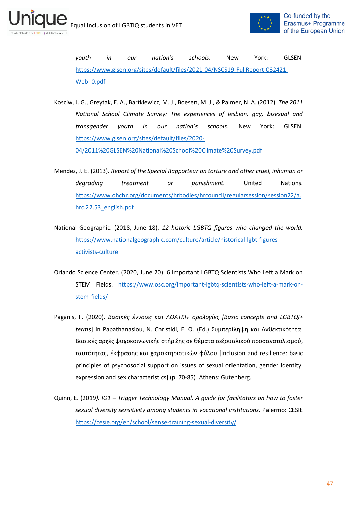ni



*youth in our nation's schools*. New York: GLSEN. [https://www.glsen.org/sites/default/files/2021-04/NSCS19-FullReport-032421-](https://www.glsen.org/sites/default/files/2021-04/NSCS19-FullReport-032421-Web_0.pdf) Web 0.pdf

- Kosciw, J. G., Greytak, E. A., Bartkiewicz, M. J., Boesen, M. J., & Palmer, N. A. (2012). *The 2011 National School Climate Survey: The experiences of lesbian, gay, bisexual and transgender youth in our nation's schools*. New York: GLSEN. [https://www.glsen.org/sites/default/files/2020-](https://www.glsen.org/sites/default/files/2020-04/2011%20GLSEN%20National%20School%20Climate%20Survey.pdf) [04/2011%20GLSEN%20National%20School%20Climate%20Survey.pdf](https://www.glsen.org/sites/default/files/2020-04/2011%20GLSEN%20National%20School%20Climate%20Survey.pdf)
- Mendez, J. E. (2013). *Report of the Special Rapporteur on torture and other cruel, inhuman or degrading treatment or punishment.* United Nations. [https://www.ohchr.org/documents/hrbodies/hrcouncil/regularsession/session22/a.](https://www.ohchr.org/documents/hrbodies/hrcouncil/regularsession/session22/a.hrc.22.53_english.pdf) [hrc.22.53\\_english.pdf](https://www.ohchr.org/documents/hrbodies/hrcouncil/regularsession/session22/a.hrc.22.53_english.pdf)
- National Geographic. (2018, June 18). *12 historic LGBTQ figures who changed the world.* [https://www.nationalgeographic.com/culture/article/historical-lgbt-figures](https://www.nationalgeographic.com/culture/article/historical-lgbt-figures-activists-culture)[activists-culture](https://www.nationalgeographic.com/culture/article/historical-lgbt-figures-activists-culture)
- Orlando Science Center. (2020, June 20). 6 Important LGBTQ Scientists Who Left a Mark on STEM Fields. [https://www.osc.org/important-lgbtq-scientists-who-left-a-mark-on](https://www.osc.org/important-lgbtq-scientists-who-left-a-mark-on-stem-fields/)[stem-fields/](https://www.osc.org/important-lgbtq-scientists-who-left-a-mark-on-stem-fields/)
- Paganis, F. (2020). *Βασικές έννοιες και ΛΟΑΤΚΙ+ ορολογίες [Basic concepts and LGBTQI+ terms*] in Papathanasiou, N. Christidi, E. Ο. (Ed.) Συμπερίληψη και Ανθεκτικότητα: Βασικές αρχές ψυχοκοινωνικής στήριξης σε θέματα σεξουαλικού προσανατολισμού, ταυτότητας, έκφρασης και χαρακτηριστικών φύλου [Inclusion and resilience: basic principles of psychosocial support on issues of sexual orientation, gender identity, expression and sex characteristics] (p. 70-85). Athens: Gutenberg.
- Quinn, E. (2019*). IO1 – Trigger Technology Manual. A guide for facilitators on how to foster sexual diversity sensitivity among students in vocational institutions*. Palermo: CESIE <https://cesie.org/en/school/sense-training-sexual-diversity/>